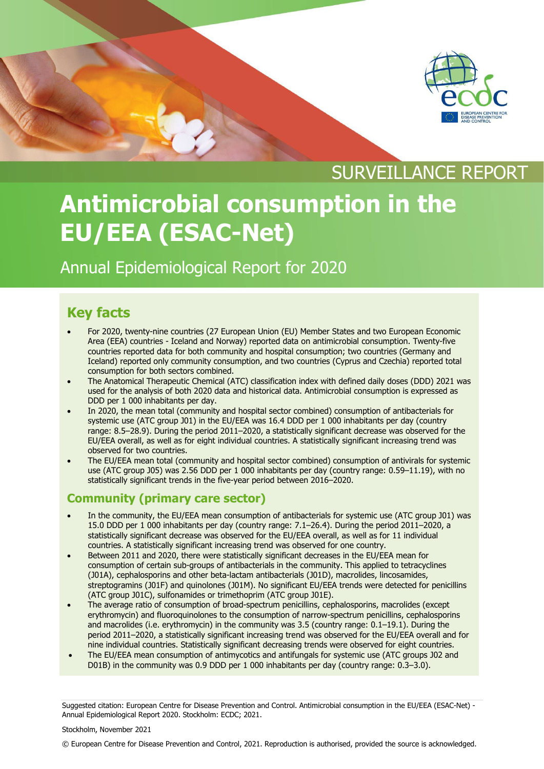

# SURVEILLANCE REPORT

# **Antimicrobial consumption in the EU/EEA (ESAC-Net)**

Annual Epidemiological Report for 2020

# **Key facts**

- For 2020, twenty-nine countries (27 European Union (EU) Member States and two European Economic Area (EEA) countries - Iceland and Norway) reported data on antimicrobial consumption. Twenty-five countries reported data for both community and hospital consumption; two countries (Germany and Iceland) reported only community consumption, and two countries (Cyprus and Czechia) reported total consumption for both sectors combined.
- The Anatomical Therapeutic Chemical (ATC) classification index with defined daily doses (DDD) 2021 was used for the analysis of both 2020 data and historical data. Antimicrobial consumption is expressed as DDD per 1 000 inhabitants per day.
- In 2020, the mean total (community and hospital sector combined) consumption of antibacterials for systemic use (ATC group J01) in the EU/EEA was 16.4 DDD per 1 000 inhabitants per day (country range: 8.5–28.9). During the period 2011–2020, a statistically significant decrease was observed for the EU/EEA overall, as well as for eight individual countries. A statistically significant increasing trend was observed for two countries.
- The EU/EEA mean total (community and hospital sector combined) consumption of antivirals for systemic use (ATC group J05) was 2.56 DDD per 1 000 inhabitants per day (country range: 0.59–11.19), with no statistically significant trends in the five-year period between 2016–2020.

### **Community (primary care sector)**

- In the community, the EU/EEA mean consumption of antibacterials for systemic use (ATC group J01) was 15.0 DDD per 1 000 inhabitants per day (country range: 7.1–26.4). During the period 2011–2020, a statistically significant decrease was observed for the EU/EEA overall, as well as for 11 individual countries. A statistically significant increasing trend was observed for one country.
- Between 2011 and 2020, there were statistically significant decreases in the EU/EEA mean for consumption of certain sub-groups of antibacterials in the community. This applied to tetracyclines (J01A), cephalosporins and other beta-lactam antibacterials (J01D), macrolides, lincosamides, streptogramins (J01F) and quinolones (J01M). No significant EU/EEA trends were detected for penicillins (ATC group J01C), sulfonamides or trimethoprim (ATC group J01E).
- The average ratio of consumption of broad-spectrum penicillins, cephalosporins, macrolides (except erythromycin) and fluoroquinolones to the consumption of narrow-spectrum penicillins, cephalosporins and macrolides (i.e. erythromycin) in the community was 3.5 (country range: 0.1–19.1). During the period 2011–2020, a statistically significant increasing trend was observed for the EU/EEA overall and for nine individual countries. Statistically significant decreasing trends were observed for eight countries.
- The EU/EEA mean consumption of antimycotics and antifungals for systemic use (ATC groups J02 and D01B) in the community was 0.9 DDD per 1 000 inhabitants per day (country range: 0.3–3.0).

Suggested citation: European Centre for Disease Prevention and Control. Antimicrobial consumption in the EU/EEA (ESAC-Net) - Annual Epidemiological Report 2020. Stockholm: ECDC; 2021.

#### Stockholm, November 2021

© European Centre for Disease Prevention and Control, 2021. Reproduction is authorised, provided the source is acknowledged.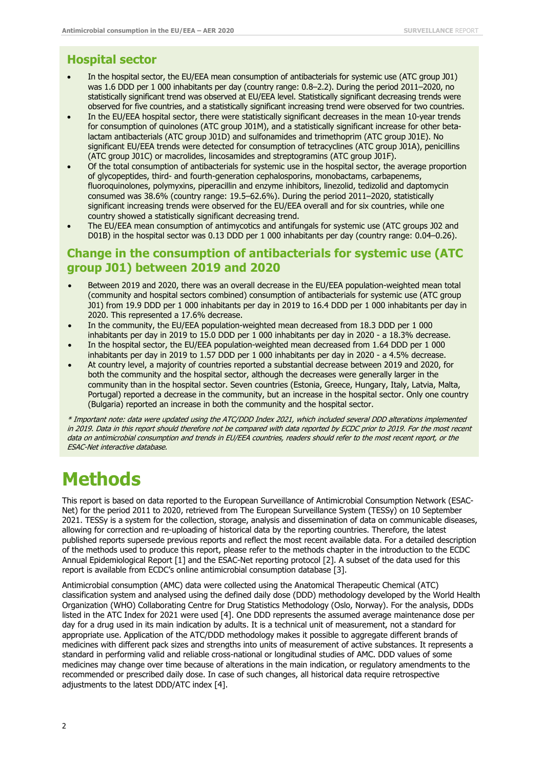### **Hospital sector**

- In the hospital sector, the EU/EEA mean consumption of antibacterials for systemic use (ATC group J01) was 1.6 DDD per 1 000 inhabitants per day (country range: 0.8–2.2). During the period 2011–2020, no statistically significant trend was observed at EU/EEA level. Statistically significant decreasing trends were observed for five countries, and a statistically significant increasing trend were observed for two countries.
- In the EU/EEA hospital sector, there were statistically significant decreases in the mean 10-year trends for consumption of quinolones (ATC group J01M), and a statistically significant increase for other betalactam antibacterials (ATC group J01D) and sulfonamides and trimethoprim (ATC group J01E). No significant EU/EEA trends were detected for consumption of tetracyclines (ATC group J01A), penicillins (ATC group J01C) or macrolides, lincosamides and streptogramins (ATC group J01F).
- Of the total consumption of antibacterials for systemic use in the hospital sector, the average proportion of glycopeptides, third- and fourth-generation cephalosporins, monobactams, carbapenems, fluoroquinolones, polymyxins, piperacillin and enzyme inhibitors, linezolid, tedizolid and daptomycin consumed was 38.6% (country range: 19.5–62.6%). During the period 2011–2020, statistically significant increasing trends were observed for the EU/EEA overall and for six countries, while one country showed a statistically significant decreasing trend.
- The EU/EEA mean consumption of antimycotics and antifungals for systemic use (ATC groups J02 and D01B) in the hospital sector was 0.13 DDD per 1 000 inhabitants per day (country range: 0.04–0.26).

### **Change in the consumption of antibacterials for systemic use (ATC group J01) between 2019 and 2020**

- Between 2019 and 2020, there was an overall decrease in the EU/EEA population-weighted mean total (community and hospital sectors combined) consumption of antibacterials for systemic use (ATC group J01) from 19.9 DDD per 1 000 inhabitants per day in 2019 to 16.4 DDD per 1 000 inhabitants per day in 2020. This represented a 17.6% decrease.
- In the community, the EU/EEA population-weighted mean decreased from 18.3 DDD per 1 000 inhabitants per day in 2019 to 15.0 DDD per 1 000 inhabitants per day in 2020 - a 18.3% decrease.
- In the hospital sector, the EU/EEA population-weighted mean decreased from 1.64 DDD per 1 000 inhabitants per day in 2019 to 1.57 DDD per 1 000 inhabitants per day in 2020 - a 4.5% decrease.
- At country level, a majority of countries reported a substantial decrease between 2019 and 2020, for both the community and the hospital sector, although the decreases were generally larger in the community than in the hospital sector. Seven countries (Estonia, Greece, Hungary, Italy, Latvia, Malta, Portugal) reported a decrease in the community, but an increase in the hospital sector. Only one country (Bulgaria) reported an increase in both the community and the hospital sector.

\* Important note: data were updated using the ATC/DDD Index 2021, which included several DDD alterations implemented in 2019. Data in this report should therefore not be compared with data reported by ECDC prior to 2019. For the most recent data on antimicrobial consumption and trends in EU/EEA countries, readers should refer to the most recent report, or the ESAC-Net interactive database.

# **Methods**

This report is based on data reported to the European Surveillance of Antimicrobial Consumption Network (ESAC-Net) for the period 2011 to 2020, retrieved from The European Surveillance System (TESSy) on 10 September 2021. TESSy is a system for the collection, storage, analysis and dissemination of data on communicable diseases, allowing for correction and re-uploading of historical data by the reporting countries. Therefore, the latest published reports supersede previous reports and reflect the most recent available data. For a detailed description of the methods used to produce this report, please refer to the methods chapter in the introduction to the ECDC Annual Epidemiological Report [1] and the ESAC-Net reporting protocol [2]. A subset of the data used for this report is available from ECDC's online antimicrobial consumption database [3].

Antimicrobial consumption (AMC) data were collected using the Anatomical Therapeutic Chemical (ATC) classification system and analysed using the defined daily dose (DDD) methodology developed by the World Health Organization (WHO) Collaborating Centre for Drug Statistics Methodology (Oslo, Norway). For the analysis, DDDs listed in the ATC Index for 2021 were used [4]. One DDD represents the assumed average maintenance dose per day for a drug used in its main indication by adults. It is a technical unit of measurement, not a standard for appropriate use. Application of the ATC/DDD methodology makes it possible to aggregate different brands of medicines with different pack sizes and strengths into units of measurement of active substances. It represents a standard in performing valid and reliable cross-national or longitudinal studies of AMC. DDD values of some medicines may change over time because of alterations in the main indication, or regulatory amendments to the recommended or prescribed daily dose. In case of such changes, all historical data require retrospective adjustments to the latest DDD/ATC index [4].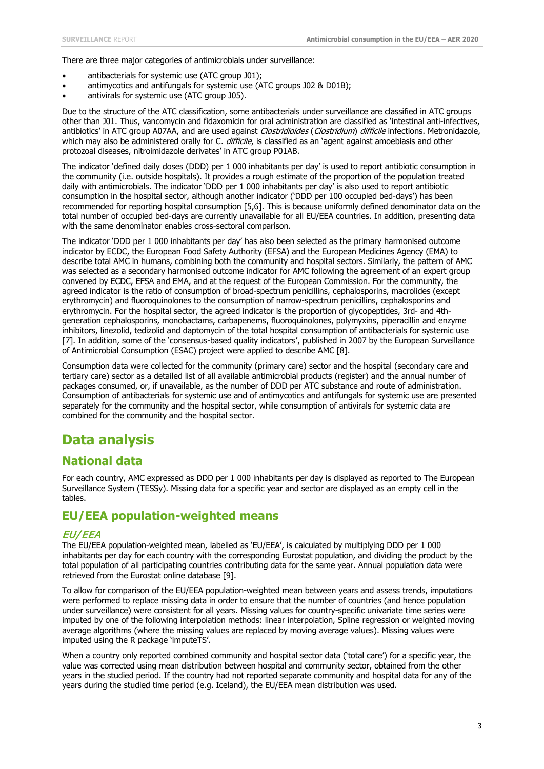There are three major categories of antimicrobials under surveillance:

- antibacterials for systemic use (ATC group J01);
- antimycotics and antifungals for systemic use (ATC groups J02 & D01B);
- antivirals for systemic use (ATC group J05).

Due to the structure of the ATC classification, some antibacterials under surveillance are classified in ATC groups other than J01. Thus, vancomycin and fidaxomicin for oral administration are classified as 'intestinal anti-infectives, antibiotics' in ATC group A07AA, and are used against Clostridioides (Clostridium) difficile infections. Metronidazole, which may also be administered orally for C. difficile, is classified as an 'agent against amoebiasis and other protozoal diseases, nitroimidazole derivates' in ATC group P01AB.

The indicator 'defined daily doses (DDD) per 1 000 inhabitants per day' is used to report antibiotic consumption in the community (i.e. outside hospitals). It provides a rough estimate of the proportion of the population treated daily with antimicrobials. The indicator 'DDD per 1 000 inhabitants per day' is also used to report antibiotic consumption in the hospital sector, although another indicator ('DDD per 100 occupied bed-days') has been recommended for reporting hospital consumption [5,6]. This is because uniformly defined denominator data on the total number of occupied bed-days are currently unavailable for all EU/EEA countries. In addition, presenting data with the same denominator enables cross-sectoral comparison.

The indicator 'DDD per 1 000 inhabitants per day' has also been selected as the primary harmonised outcome indicator by ECDC, the European Food Safety Authority (EFSA) and the European Medicines Agency (EMA) to describe total AMC in humans, combining both the community and hospital sectors. Similarly, the pattern of AMC was selected as a secondary harmonised outcome indicator for AMC following the agreement of an expert group convened by ECDC, EFSA and EMA, and at the request of the European Commission. For the community, the agreed indicator is the ratio of consumption of broad-spectrum penicillins, cephalosporins, macrolides (except erythromycin) and fluoroquinolones to the consumption of narrow-spectrum penicillins, cephalosporins and erythromycin. For the hospital sector, the agreed indicator is the proportion of glycopeptides, 3rd- and 4thgeneration cephalosporins, monobactams, carbapenems, fluoroquinolones, polymyxins, piperacillin and enzyme inhibitors, linezolid, tedizolid and daptomycin of the total hospital consumption of antibacterials for systemic use [7]. In addition, some of the 'consensus-based quality indicators', published in 2007 by the European Surveillance of Antimicrobial Consumption (ESAC) project were applied to describe AMC [8].

Consumption data were collected for the community (primary care) sector and the hospital (secondary care and tertiary care) sector as a detailed list of all available antimicrobial products (register) and the annual number of packages consumed, or, if unavailable, as the number of DDD per ATC substance and route of administration. Consumption of antibacterials for systemic use and of antimycotics and antifungals for systemic use are presented separately for the community and the hospital sector, while consumption of antivirals for systemic data are combined for the community and the hospital sector.

## **Data analysis**

### **National data**

For each country, AMC expressed as DDD per 1 000 inhabitants per day is displayed as reported to The European Surveillance System (TESSy). Missing data for a specific year and sector are displayed as an empty cell in the tables.

### **EU/EEA population-weighted means**

#### EU/EEA

The EU/EEA population-weighted mean, labelled as 'EU/EEA', is calculated by multiplying DDD per 1 000 inhabitants per day for each country with the corresponding Eurostat population, and dividing the product by the total population of all participating countries contributing data for the same year. Annual population data were retrieved from the Eurostat online database [9].

To allow for comparison of the EU/EEA population-weighted mean between years and assess trends, imputations were performed to replace missing data in order to ensure that the number of countries (and hence population under surveillance) were consistent for all years. Missing values for country-specific univariate time series were imputed by one of the following interpolation methods: linear interpolation, Spline regression or weighted moving average algorithms (where the missing values are replaced by moving average values). Missing values were imputed using the R package 'imputeTS'.

When a country only reported combined community and hospital sector data ('total care') for a specific year, the value was corrected using mean distribution between hospital and community sector, obtained from the other years in the studied period. If the country had not reported separate community and hospital data for any of the years during the studied time period (e.g. Iceland), the EU/EEA mean distribution was used.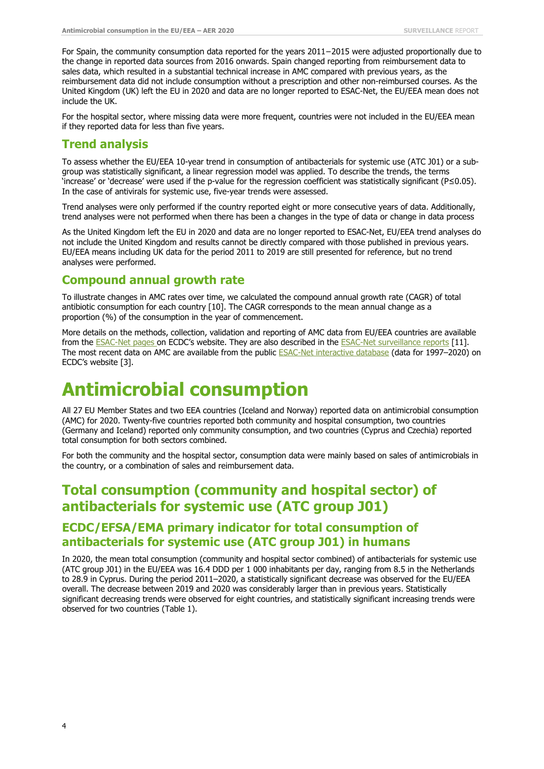For Spain, the community consumption data reported for the years 2011−2015 were adjusted proportionally due to the change in reported data sources from 2016 onwards. Spain changed reporting from reimbursement data to sales data, which resulted in a substantial technical increase in AMC compared with previous years, as the reimbursement data did not include consumption without a prescription and other non-reimbursed courses. As the United Kingdom (UK) left the EU in 2020 and data are no longer reported to ESAC-Net, the EU/EEA mean does not include the UK.

For the hospital sector, where missing data were more frequent, countries were not included in the EU/EEA mean if they reported data for less than five years.

### **Trend analysis**

To assess whether the EU/EEA 10-year trend in consumption of antibacterials for systemic use (ATC J01) or a subgroup was statistically significant, a linear regression model was applied. To describe the trends, the terms 'increase' or 'decrease' were used if the p-value for the regression coefficient was statistically significant (P≤0.05). In the case of antivirals for systemic use, five-year trends were assessed.

Trend analyses were only performed if the country reported eight or more consecutive years of data. Additionally, trend analyses were not performed when there has been a changes in the type of data or change in data process

As the United Kingdom left the EU in 2020 and data are no longer reported to ESAC-Net, EU/EEA trend analyses do not include the United Kingdom and results cannot be directly compared with those published in previous years. EU/EEA means including UK data for the period 2011 to 2019 are still presented for reference, but no trend analyses were performed.

### **Compound annual growth rate**

To illustrate changes in AMC rates over time, we calculated the compound annual growth rate (CAGR) of total antibiotic consumption for each country [10]. The CAGR corresponds to the mean annual change as a proportion (%) of the consumption in the year of commencement.

More details on the methods, collection, validation and reporting of AMC data from EU/EEA countries are available from the **ESAC-Net pages on ECDC's website.** They are also described in the **ESAC-Net surveillance reports** [11]. The most recent data on AMC are available from the public **ESAC-Net interactive database** (data for 1997-2020) on ECDC's website [3].

# **Antimicrobial consumption**

All 27 EU Member States and two EEA countries (Iceland and Norway) reported data on antimicrobial consumption (AMC) for 2020. Twenty-five countries reported both community and hospital consumption, two countries (Germany and Iceland) reported only community consumption, and two countries (Cyprus and Czechia) reported total consumption for both sectors combined.

For both the community and the hospital sector, consumption data were mainly based on sales of antimicrobials in the country, or a combination of sales and reimbursement data.

## **Total consumption (community and hospital sector) of antibacterials for systemic use (ATC group J01)**

### **ECDC/EFSA/EMA primary indicator for total consumption of antibacterials for systemic use (ATC group J01) in humans**

In 2020, the mean total consumption (community and hospital sector combined) of antibacterials for systemic use (ATC group J01) in the EU/EEA was 16.4 DDD per 1 000 inhabitants per day, ranging from 8.5 in the Netherlands to 28.9 in Cyprus. During the period 2011–2020, a statistically significant decrease was observed for the EU/EEA overall. The decrease between 2019 and 2020 was considerably larger than in previous years. Statistically significant decreasing trends were observed for eight countries, and statistically significant increasing trends were observed for two countries (Table 1).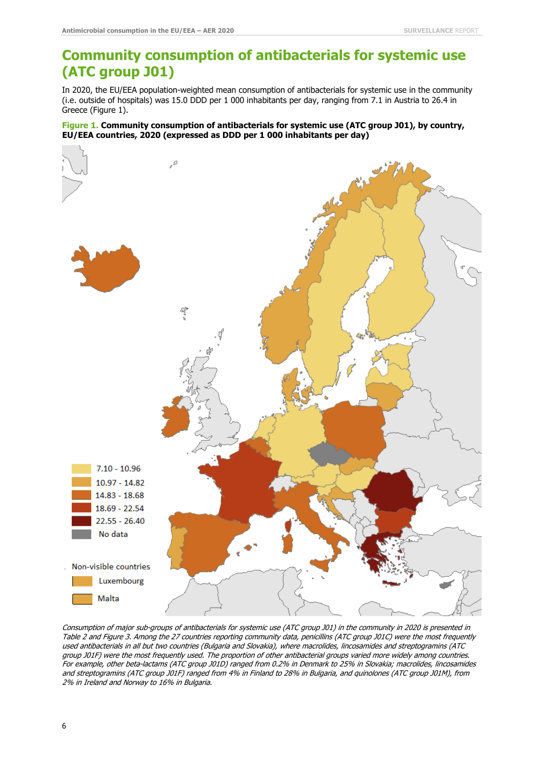## **Community consumption of antibacterials for systemic use (ATC group J01)**

In 2020, the EU/EEA population-weighted mean consumption of antibacterials for systemic use in the community (i.e. outside of hospitals) was 15.0 DDD per 1 000 inhabitants per day, ranging from 7.1 in Austria to 26.4 in Greece (Figure 1).

**Figure 1. Community consumption of antibacterials for systemic use (ATC group J01), by country, EU/EEA countries, 2020 (expressed as DDD per 1 000 inhabitants per day)**



Consumption of major sub-groups of antibacterials for systemic use (ATC group J01) in the community in 2020 is presented in Table 2 and Figure 3. Among the 27 countries reporting community data, penicillins (ATC group J01C) were the most frequently used antibacterials in all but two countries (Bulgaria and Slovakia), where macrolides, lincosamides and streptogramins (ATC group J01F) were the most frequently used. The proportion of other antibacterial groups varied more widely among countries. For example, other beta-lactams (ATC group J01D) ranged from 0.2% in Denmark to 25% in Slovakia; macrolides, lincosamides and streptogramins (ATC group J01F) ranged from 4% in Finland to 28% in Bulgaria, and quinolones (ATC group J01M), from 2% in Ireland and Norway to 16% in Bulgaria.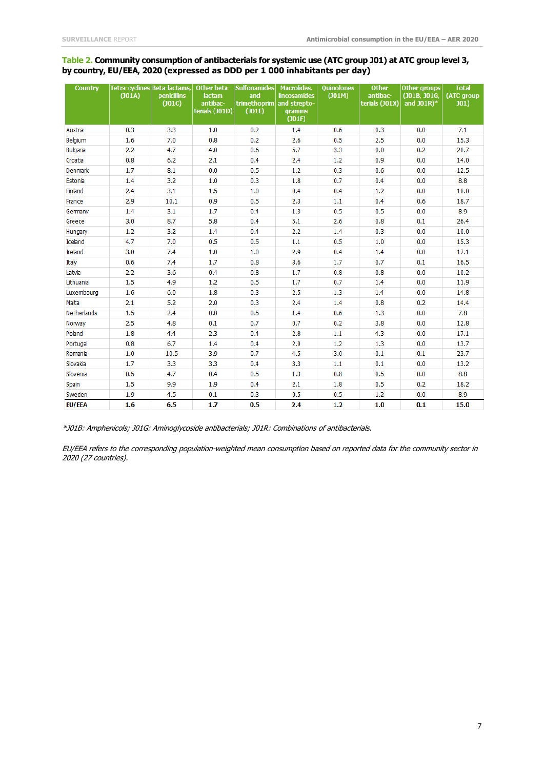#### **Table 2. Community consumption of antibacterials for systemic use (ATC group J01) at ATC group level 3, by country, EU/EEA, 2020 (expressed as DDD per 1 000 inhabitants per day)**

| <b>Country</b> | (JO1A) | Tetra-cyclines Beta-lactams,<br><b>penicillins</b><br>(JO1C) | Other beta-<br><b>lactam</b><br>antibac-<br>terials (J01D) | <b>Sulfonamides</b><br>and<br>trimethoprim<br>(JO1E) | Macrolides,<br>lincosamides<br>and strepto-<br><b>gramins</b><br>(JO1F) | <b>Quinolones</b><br>(JO1M) | <b>Other</b><br>antibac-<br>terials (J01X) | <b>Other groups</b><br>(J01B, J01G,<br>and J01R)* | <b>Total</b><br>(ATC group<br>J(01) |
|----------------|--------|--------------------------------------------------------------|------------------------------------------------------------|------------------------------------------------------|-------------------------------------------------------------------------|-----------------------------|--------------------------------------------|---------------------------------------------------|-------------------------------------|
| Austria        | 0.3    | 3.3                                                          | 1.0                                                        | 0.2                                                  | 1.4                                                                     | 0.6                         | 0.3                                        | 0.0                                               | 7.1                                 |
| Belgium        | 1.6    | 7.0                                                          | 0.8                                                        | 0.2                                                  | 2.6                                                                     | 0.5                         | 2.5                                        | 0.0                                               | 15.3                                |
| Bulgaria       | 2.2    | 4.7                                                          | 4.0                                                        | 0.6                                                  | 5.7                                                                     | 3.3                         | 0.0                                        | 0.2                                               | 20.7                                |
| Croatia        | 0.8    | 6.2                                                          | 2.1                                                        | 0.4                                                  | 2.4                                                                     | 1.2                         | 0.9                                        | 0.0                                               | 14.0                                |
| Denmark        | 1.7    | 8.1                                                          | 0.0                                                        | 0.5                                                  | 1.2                                                                     | 0.3                         | 0.6                                        | 0.0                                               | 12.5                                |
| Estonia        | 1.4    | 3.2                                                          | 1.0                                                        | 0.3                                                  | 1.8                                                                     | 0.7                         | 0.4                                        | 0.0                                               | 8.8                                 |
| Finland        | 2.4    | 3.1                                                          | 1.5                                                        | 1.0                                                  | 0.4                                                                     | 0.4                         | 1.2                                        | 0.0                                               | 10.0                                |
| France         | 2.9    | 10.1                                                         | 0.9                                                        | 0.5                                                  | 2.3                                                                     | 1.1                         | 0.4                                        | 0.6                                               | 18.7                                |
| Germany        | 1.4    | 3.1                                                          | 1.7                                                        | 0.4                                                  | 1.3                                                                     | 0.5                         | 0.5                                        | 0.0                                               | 8.9                                 |
| Greece         | 3.0    | 8.7                                                          | 5.8                                                        | 0.4                                                  | 5.1                                                                     | 2.6                         | 0.8                                        | 0.1                                               | 26.4                                |
| Hungary        | 1.2    | 3.2                                                          | 1.4                                                        | 0.4                                                  | 2.2                                                                     | 1.4                         | 0.3                                        | 0.0                                               | 10.0                                |
| Iceland        | 4.7    | 7.0                                                          | 0.5                                                        | 0.5                                                  | 1.1                                                                     | 0.5                         | 1.0                                        | 0.0                                               | 15.3                                |
| Ireland        | 3.0    | 7.4                                                          | 1.0                                                        | 1.0                                                  | 2.9                                                                     | 0.4                         | 1.4                                        | 0.0                                               | 17.1                                |
| Italy          | 0.6    | 7.4                                                          | 1.7                                                        | 0.8                                                  | 3.6                                                                     | 1.7                         | 0.7                                        | 0.1                                               | 16.5                                |
| Latvia         | 2.2    | 3.6                                                          | 0.4                                                        | 0.8                                                  | 1.7                                                                     | 0.8                         | 0.8                                        | 0.0                                               | 10.2                                |
| Lithuania      | 1.5    | 4.9                                                          | 1.2                                                        | 0.5                                                  | 1.7                                                                     | 0.7                         | 1.4                                        | 0.0                                               | 11.9                                |
| Luxembourg     | 1.6    | 6.0                                                          | 1.8                                                        | 0.3                                                  | 2.5                                                                     | 1.3                         | 1.4                                        | 0.0                                               | 14.8                                |
| Malta          | 2.1    | 5.2                                                          | 2.0                                                        | 0.3                                                  | 2.4                                                                     | 1.4                         | 0.8                                        | 0.2                                               | 14.4                                |
| Netherlands    | 1.5    | 2.4                                                          | 0.0                                                        | 0.5                                                  | 1.4                                                                     | 0.6                         | 1.3                                        | 0.0                                               | 7.8                                 |
| Norway         | 2.5    | 4.8                                                          | 0.1                                                        | 0.7                                                  | 0.7                                                                     | 0.2                         | 3.8                                        | 0.0                                               | 12.8                                |
| Poland         | 1.8    | 4.4                                                          | 2.3                                                        | 0.4                                                  | 2.8                                                                     | 1.1                         | 4.3                                        | 0.0                                               | 17.1                                |
| Portugal       | 0.8    | 6.7                                                          | 1.4                                                        | 0.4                                                  | 2.0                                                                     | 1.2                         | 1.3                                        | 0.0                                               | 13.7                                |
| Romania        | 1.0    | 10.5                                                         | 3.9                                                        | 0.7                                                  | 4.5                                                                     | 3.0                         | 0.1                                        | 0.1                                               | 23.7                                |
| Slovakia       | 1.7    | 3.3                                                          | 3.3                                                        | 0.4                                                  | 3.3                                                                     | 1.1                         | 0.1                                        | 0.0                                               | 13.2                                |
| Slovenia       | 0.5    | 4.7                                                          | 0.4                                                        | 0.5                                                  | 1.3                                                                     | 0.8                         | 0.5                                        | 0.0                                               | 8.8                                 |
| Spain          | 1.5    | 9.9                                                          | 1.9                                                        | 0.4                                                  | 2.1                                                                     | 1.8                         | 0.5                                        | 0.2                                               | 18.2                                |
| Sweden         | 1.9    | 4.5                                                          | 0.1                                                        | 0.3                                                  | 0.5                                                                     | 0.5                         | 1.2                                        | 0.0                                               | 8.9                                 |
| <b>EU/EEA</b>  | 1.6    | 6.5                                                          | 1.7                                                        | 0.5                                                  | 2.4                                                                     | 1.2                         | 1.0                                        | 0.1                                               | 15.0                                |

\*J01B: Amphenicols; J01G: Aminoglycoside antibacterials; J01R: Combinations of antibacterials.

EU/EEA refers to the corresponding population-weighted mean consumption based on reported data for the community sector in 2020 (27 countries).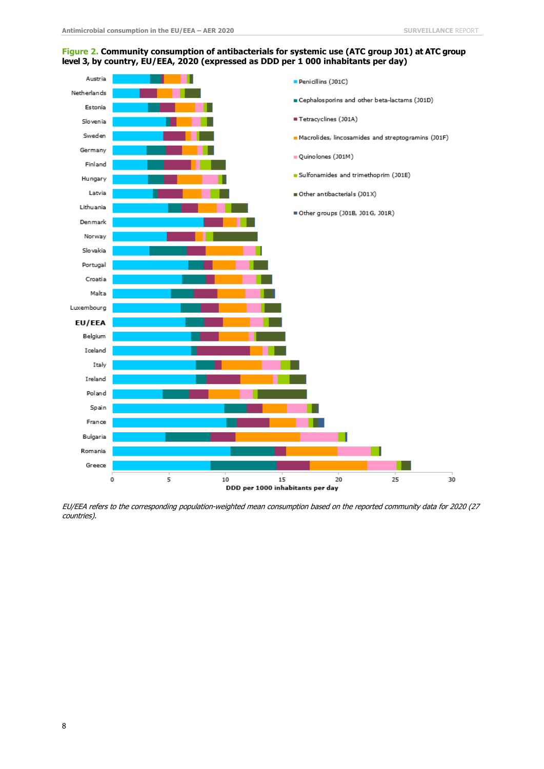#### **Figure 2. Community consumption of antibacterials for systemic use (ATC group J01) at ATC group level 3, by country, EU/EEA, 2020 (expressed as DDD per 1 000 inhabitants per day)**



EU/EEA refers to the corresponding population-weighted mean consumption based on the reported community data for 2020 (27 countries).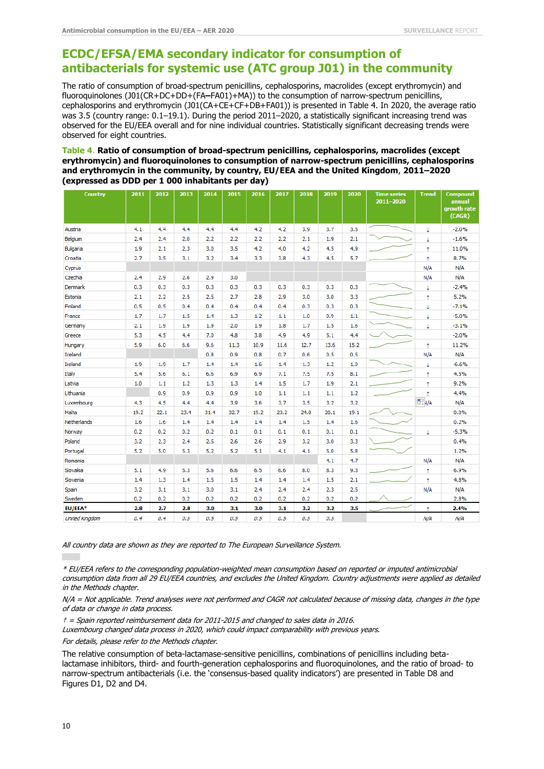### **ECDC/EFSA/EMA secondary indicator for consumption of antibacterials for systemic use (ATC group J01) in the community**

The ratio of consumption of broad-spectrum penicillins, cephalosporins, macrolides (except erythromycin) and fluoroquinolones (J01(CR+DC+DD+(FA**–**FA01)+MA)) to the consumption of narrow-spectrum penicillins, cephalosporins and erythromycin (J01(CA+CE+CF+DB+FA01)) is presented in Table 4. In 2020, the average ratio was 3.5 (country range:  $0.1-19.1$ ). During the period 2011–2020, a statistically significant increasing trend was observed for the EU/EEA overall and for nine individual countries. Statistically significant decreasing trends were observed for eight countries.

#### **Table 4**. **Ratio of consumption of broad-spectrum penicillins, cephalosporins, macrolides (except erythromycin) and fluoroquinolones to consumption of narrow-spectrum penicillins, cephalosporins and erythromycin in the community, by country, EU/EEA and the United Kingdom**, **2011–2020 (expressed as DDD per 1 000 inhabitants per day)**

| Country               | 2011 | 2012 | 2013 | 2014 | 2015 | 2016 | 2017 | 2018 | 2019 | 2020 | <b>Time series</b><br>2011-2020 | <b>Trend</b> | <b>Compound</b><br>annual<br>growth rate<br>(CAGR) |
|-----------------------|------|------|------|------|------|------|------|------|------|------|---------------------------------|--------------|----------------------------------------------------|
| Austria               | 4.1  | 4.4  | 4.4  | 4.4  | 4.4  | 4.2  | 4.2  | 3.9  | 3.7  | 3.5  |                                 | Ť.           | $-2.0%$                                            |
| Belgium               | 2.4  | 2.4  | 2.0  | 2.2  | 2.2  | 2.2  | 2.2  | 2.1  | 1.9  | 2.1  |                                 | ī.           | $-1.6%$                                            |
| Bulgaria              | 1.9  | 2.1  | 2.3  | 3.0  | 3.5  | 4.2  | 4.0  | 4.2  | 4.5  | 4.9  |                                 | Ť            | 11.0%                                              |
| Croatia               | 2.7  | 3.5  | 3.1  | 3.2  | 3,4  | 3.3  | 3.8  | 4.3  | 4.5  | 5.7  |                                 | Ť            | 8.7%                                               |
| Cyprus                |      |      |      |      |      |      |      |      |      |      |                                 | N/A          | N/A                                                |
| Czechia               | 2.4  | 2.9  | 2.6  | 2.9  | 3.0  |      |      |      |      |      |                                 | N/A          | N/A                                                |
| Denmark               | 0.3  | 0.3  | 0.3  | 0.3  | 0.3  | 0.3  | 0.3  | 0.3  | 0.3  | 0.3  |                                 | ı            | $-2.4%$                                            |
| Estonia               | 2.1  | 2.2  | 2.5  | 2.5  | 2.7  | 2.8  | 2.9  | 3.0  | 3.0  | 3.3  |                                 | Ť            | 5.2%                                               |
| Finland               | 0.5  | 0.5  | 0.4  | 0.4  | 0.4  | 0.4  | 0.4  | 0.3  | 0.3  | 0.3  |                                 | ı            | $-7.1%$                                            |
| France                | 1.7  | 1.7  | 1.5  | 1.4  | 1.3  | 1.2  | 1.1  | 1.0  | 0.9  | 1.1  |                                 | ţ.           | $-5.0%$                                            |
| Germany               | 2.1  | 1.9  | 1.9  | 1.9  | 2.0  | 1.9  | 1.8  | 1.7  | 1.5  | 1.6  |                                 | Į.           | $-3.1%$                                            |
| Greece                | 5.3  | 4.5  | 4.4  | 7.0  | 4.8  | 3.8  | 4.9  | 4.9  | 5.1  | 4.4  |                                 |              | $-2.0%$                                            |
| Hungary               | 5.9  | 6.0  | 6.6  | 9.6  | 11.3 | 10.9 | 11.6 | 12.7 | 13.6 | 15.2 |                                 | Ť.           | 11.2%                                              |
| Iceland               |      |      |      | 0.8  | 0.9  | 0.8  | 0.7  | 0.6  | 0.5  | 0.5  |                                 | N/A          | N/A                                                |
| Ireland               | 1.9  | 1.9  | 1.7  | 1.4  | 1.4  | 1.6  | 1.4  | 1.3  | 1.2  | 1.0  |                                 | ı            | $-6.6%$                                            |
| Italy                 | 5.4  | 5.6  | 6.1  | 6.6  | 6.9  | 6.9  | 7.1  | 7.5  | 7.5  | 8.1  |                                 | ٠            | 4.5%                                               |
| Latvia                | 1.0  | 1.1  | 1.2  | 1.3  | 1.3  | 1.4  | 1.5  | 1.7  | 1.9  | 2.1  |                                 | ٠            | 9.2%                                               |
| Lithuania             |      | 0.9  | 0.9  | 0.9  | 0.9  | 1.0  | 1.1  | 1.1  | 1.1  | 1.2  |                                 | ٠            | 4.4%                                               |
| Luxembourg            | 4.3  | 4.5  | 4.4  | 4.4  | 3.9  | 3.6  | 3.7  | 3.5  | 3.2  | 3.2  |                                 | E.VA         | N/A                                                |
| Malta                 | 19.2 | 22.1 | 23.4 | 31.4 | 32.7 | 19.2 | 23.2 | 24.0 | 20.1 | 19.1 |                                 |              | 0.0%                                               |
| Netherlands           | 1.6  | 1.6  | 1.4  | 1.4  | 1.4  | 1.4  | 1.4  | 1.5  | 1.4  | 1.6  |                                 |              | 0.2%                                               |
| Norway                | 0.2  | 0.2  | 0.2  | 0.2  | 0.1  | 0.1  | 0.1  | 0.1  | 0.1  | 0.1  |                                 | Ī            | $-5.3%$                                            |
| Poland                | 3.2  | 2.3  | 2.4  | 2.5  | 2.6  | 2.6  | 2.9  | 3.2  | 3.0  | 3.3  |                                 |              | 0.4%                                               |
| Portugal              | 5.2  | 5.0  | 5.3  | 5.2  | 5.2  | 5.1  | 4.1  | 4.1  | 5.0  | 5.8  |                                 |              | 1.2%                                               |
| Romania               |      |      |      |      |      |      |      |      | 4.1  | 4.7  |                                 | N/A          | N/A                                                |
| Slovakia              | 5.1  | 4.9  | 5.3  | 5.6  | 6.6  | 6.5  | 6.6  | 8.0  | 8.3  | 9.3  |                                 | Ť            | 6.9%                                               |
| Slovenia              | 1.4  | 1.3  | 1.4  | 1.5  | 1.5  | 1.4  | 1.4  | 1.4  | 1.5  | 2.1  |                                 | ٠            | 4.8%                                               |
| Spain                 | 3,2  | 3.1  | 3.1  | 3.0  | 3.1  | 2.4  | 2.4  | 2.4  | 2.3  | 2.5  |                                 | N/A          | N/A                                                |
| Sweden                | 0.2  | 0.2  | 0.2  | 0.2  | 0.2  | 0.2  | 0.2  | 0.2  | 0.2  | 0.2  |                                 |              | 2.8%                                               |
| EU/EEA*               | 2.8  | 2.7  | 2.8  | 3.0  | 3.1  | 3.0  | 3.1  | 3.2  | 3.2  | 3.5  |                                 | ٠            | 2.4%                                               |
| <b>United Kingdom</b> | 0.4  | 0.4  | 0.5  | 0.5  | 0.5  | 0.5  | 0.5  | 0.5  | 0.5  |      |                                 | N/A          | N/A                                                |

All country data are shown as they are reported to The European Surveillance System.

**COMMUNITY sector data not reported.** 

\* EU/EEA refers to the corresponding population-weighted mean consumption based on reported or imputed antimicrobial consumption data from all 29 EU/EEA countries, and excludes the United Kingdom. Country adjustments were applied as detailed in the Methods chapter.

N/A = Not applicable. Trend analyses were not performed and CAGR not calculated because of missing data, changes in the type of data or change in data process.

 $t =$  Spain reported reimbursement data for 2011-2015 and changed to sales data in 2016.

Luxembourg changed data process in 2020, which could impact comparability with previous years.

For details, please refer to the Methods chapter.

The relative consumption of beta-lactamase-sensitive penicillins, combinations of penicillins including betalactamase inhibitors, third- and fourth-generation cephalosporins and fluoroquinolones, and the ratio of broad- to narrow-spectrum antibacterials (i.e. the 'consensus-based quality indicators') are presented in Table D8 and Figures D1, D2 and D4.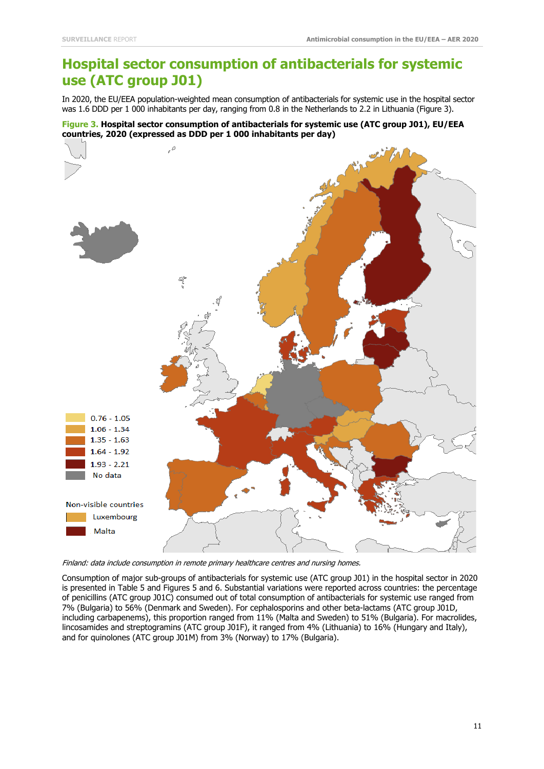# **Hospital sector consumption of antibacterials for systemic use (ATC group J01)**

In 2020, the EU/EEA population-weighted mean consumption of antibacterials for systemic use in the hospital sector was 1.6 DDD per 1 000 inhabitants per day, ranging from 0.8 in the Netherlands to 2.2 in Lithuania (Figure 3).

**Figure 3. Hospital sector consumption of antibacterials for systemic use (ATC group J01), EU/EEA countries, 2020 (expressed as DDD per 1 000 inhabitants per day)**



Finland: data include consumption in remote primary healthcare centres and nursing homes.

Consumption of major sub-groups of antibacterials for systemic use (ATC group J01) in the hospital sector in 2020 is presented in Table 5 and Figures 5 and 6. Substantial variations were reported across countries: the percentage of penicillins (ATC group J01C) consumed out of total consumption of antibacterials for systemic use ranged from 7% (Bulgaria) to 56% (Denmark and Sweden). For cephalosporins and other beta-lactams (ATC group J01D, including carbapenems), this proportion ranged from 11% (Malta and Sweden) to 51% (Bulgaria). For macrolides, lincosamides and streptogramins (ATC group J01F), it ranged from 4% (Lithuania) to 16% (Hungary and Italy), and for quinolones (ATC group J01M) from 3% (Norway) to 17% (Bulgaria).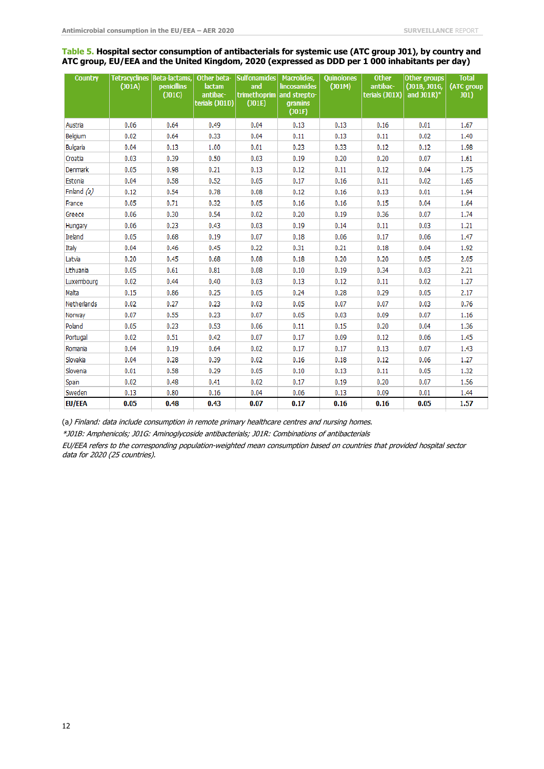#### **Table 5. Hospital sector consumption of antibacterials for systemic use (ATC group J01), by country and ATC group, EU/EEA and the United Kingdom, 2020 (expressed as DDD per 1 000 inhabitants per day)**

| <b>Country</b>  | (JO1A) | Tetracyclines   Beta-lactams,  <br><b>penicillins</b><br>(JO1C) | Other beta-<br>lactam<br>antibac-<br>terials (J01D) | <b>Sulfonamides</b><br>and<br>trimethoprim<br>(JO1E) | Macrolides,<br>lincosamides<br>and strepto-<br>gramins | <b>Quinolones</b><br>(JO1M) | <b>Other</b><br>antibac-<br>terials (J01X) | Other groups<br>(J01B, J01G,<br>and $JO1R$ <sup>*</sup> | <b>Total</b><br>(ATC group<br>J(01) |
|-----------------|--------|-----------------------------------------------------------------|-----------------------------------------------------|------------------------------------------------------|--------------------------------------------------------|-----------------------------|--------------------------------------------|---------------------------------------------------------|-------------------------------------|
|                 |        |                                                                 |                                                     |                                                      | (JO1F)                                                 |                             |                                            |                                                         |                                     |
| Austria         | 0.06   | 0.64                                                            | 0.49                                                | 0.04                                                 | 0.13                                                   | 0.13                        | 0.16                                       | 0.01                                                    | 1.67                                |
| Belgium         | 0.02   | 0.64                                                            | 0.33                                                | 0.04                                                 | 0.11                                                   | 0.13                        | 0.11                                       | 0.02                                                    | 1.40                                |
| <b>Bulgaria</b> | 0.04   | 0.13                                                            | 1.00                                                | 0.01                                                 | 0.23                                                   | 0.33                        | 0.12                                       | 0.12                                                    | 1.98                                |
| Croatia         | 0.03   | 0.39                                                            | 0.50                                                | 0.03                                                 | 0.19                                                   | 0.20                        | 0.20                                       | 0.07                                                    | 1.61                                |
| Denmark         | 0.05   | 0.98                                                            | 0.21                                                | 0.13                                                 | 0.12                                                   | 0.11                        | 0.12                                       | 0.04                                                    | 1.75                                |
| Estonia         | 0.04   | 0.58                                                            | 0.52                                                | 0.05                                                 | 0.17                                                   | 0.16                        | 0.11                                       | 0.02                                                    | 1.65                                |
| Finland $(a)$   | 0.12   | 0.54                                                            | 0.78                                                | 0.08                                                 | 0.12                                                   | 0.16                        | 0.13                                       | 0.01                                                    | 1.94                                |
| France          | 0.05   | 0.71                                                            | 0.32                                                | 0.05                                                 | 0.16                                                   | 0.16                        | 0.15                                       | 0.04                                                    | 1.64                                |
| Greece          | 0.06   | 0.30                                                            | 0.54                                                | 0.02                                                 | 0.20                                                   | 0.19                        | 0.36                                       | 0.07                                                    | 1.74                                |
| Hungary         | 0.06   | 0.23                                                            | 0.43                                                | 0.03                                                 | 0.19                                                   | 0.14                        | 0.11                                       | 0.03                                                    | 1.21                                |
| Ireland         | 0.05   | 0.68                                                            | 0.19                                                | 0.07                                                 | 0.18                                                   | 0.06                        | 0.17                                       | 0.06                                                    | 1.47                                |
| Italy           | 0.04   | 0.46                                                            | 0.45                                                | 0.22                                                 | 0.31                                                   | 0.21                        | 0.18                                       | 0.04                                                    | 1.92                                |
| Latvia          | 0.20   | 0.45                                                            | 0.68                                                | 0.08                                                 | 0.18                                                   | 0.20                        | 0.20                                       | 0.05                                                    | 2.05                                |
| Lithuania       | 0.05   | 0.61                                                            | 0.81                                                | 0.08                                                 | 0.10                                                   | 0.19                        | 0.34                                       | 0.03                                                    | 2.21                                |
| Luxembourg      | 0.02   | 0.44                                                            | 0.40                                                | 0.03                                                 | 0.13                                                   | 0.12                        | 0.11                                       | 0.02                                                    | 1.27                                |
| Malta           | 0.15   | 0.86                                                            | 0.25                                                | 0.05                                                 | 0.24                                                   | 0.28                        | 0.29                                       | 0.05                                                    | 2.17                                |
| Netherlands     | 0.02   | 0.27                                                            | 0.23                                                | 0.03                                                 | 0.05                                                   | 0.07                        | 0.07                                       | 0.03                                                    | 0.76                                |
| Norway          | 0.07   | 0.55                                                            | 0.23                                                | 0.07                                                 | 0.05                                                   | 0.03                        | 0.09                                       | 0.07                                                    | 1.16                                |
| Poland          | 0.05   | 0.23                                                            | 0.53                                                | 0.06                                                 | 0.11                                                   | 0.15                        | 0.20                                       | 0.04                                                    | 1.36                                |
| Portugal        | 0.02   | 0.51                                                            | 0.42                                                | 0.07                                                 | 0.17                                                   | 0.09                        | 0.12                                       | 0.06                                                    | 1.45                                |
| Romania         | 0.04   | 0.19                                                            | 0.64                                                | 0.02                                                 | 0.17                                                   | 0.17                        | 0.13                                       | 0.07                                                    | 1.43                                |
| Slovakia        | 0.04   | 0.28                                                            | 0.39                                                | 0.02                                                 | 0.16                                                   | 0.18                        | 0.12                                       | 0.06                                                    | 1.27                                |
| Slovenia        | 0.01   | 0.58                                                            | 0.29                                                | 0.05                                                 | 0.10                                                   | 0.13                        | 0.11                                       | 0.05                                                    | 1.32                                |
| Spain           | 0.02   | 0.48                                                            | 0.41                                                | 0.02                                                 | 0.17                                                   | 0.19                        | 0.20                                       | 0.07                                                    | 1.56                                |
| Sweden          | 0.13   | 0.80                                                            | 0.16                                                | 0.04                                                 | 0.06                                                   | 0.13                        | 0.09                                       | 0.01                                                    | 1.44                                |
| <b>EU/EEA</b>   | 0.05   | 0.48                                                            | 0.43                                                | 0.07                                                 | 0.17                                                   | 0.16                        | 0.16                                       | 0.05                                                    | 1.57                                |

(a) Finland: data include consumption in remote primary healthcare centres and nursing homes.

\*J01B: Amphenicols; J01G: Aminoglycoside antibacterials; J01R: Combinations of antibacterials

EU/EEA refers to the corresponding population-weighted mean consumption based on countries that provided hospital sector data for 2020 (25 countries).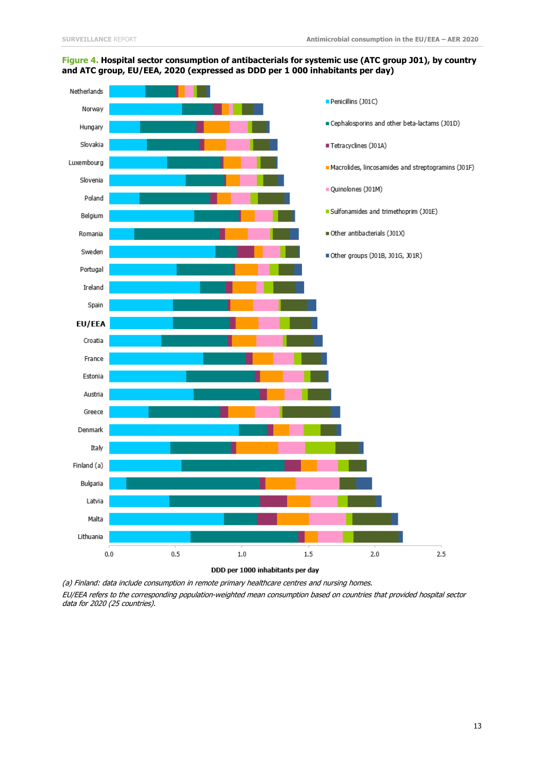

#### **Figure 4. Hospital sector consumption of antibacterials for systemic use (ATC group J01), by country and ATC group, EU/EEA, 2020 (expressed as DDD per 1 000 inhabitants per day)**

DDD per 1000 inhabitants per day

(a) Finland: data include consumption in remote primary healthcare centres and nursing homes. EU/EEA refers to the corresponding population-weighted mean consumption based on countries that provided hospital sector data for 2020 (25 countries).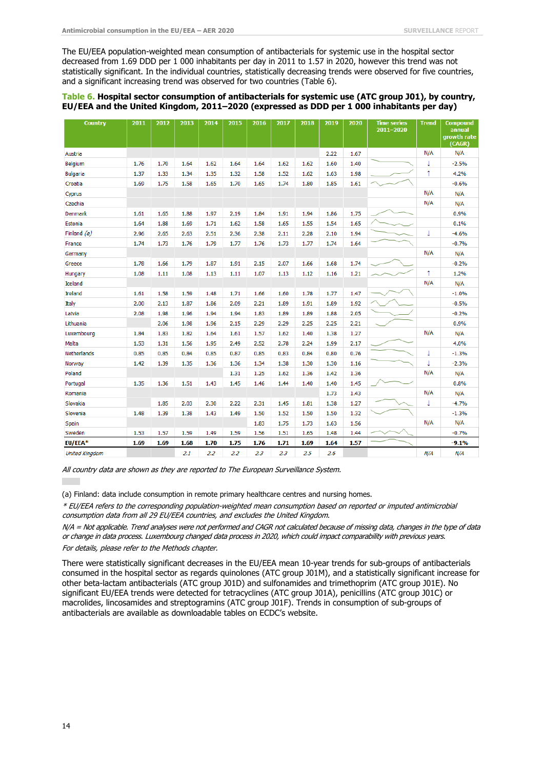The EU/EEA population-weighted mean consumption of antibacterials for systemic use in the hospital sector decreased from 1.69 DDD per 1 000 inhabitants per day in 2011 to 1.57 in 2020, however this trend was not statistically significant. In the individual countries, statistically decreasing trends were observed for five countries, and a significant increasing trend was observed for two countries (Table 6).

#### **Table 6. Hospital sector consumption of antibacterials for systemic use (ATC group J01), by country, EU/EEA and the United Kingdom, 2011–2020 (expressed as DDD per 1 000 inhabitants per day)**

| Country               | 2011 | 2012 | 2013 | 2014 | 2015 | 2016 | 2017 | 2018 | 2019 | 2020 | <b>Time series</b><br>2011-2020 | <b>Trend</b> | <b>Compound</b><br>annual<br>growth rate<br>(CAGR) |
|-----------------------|------|------|------|------|------|------|------|------|------|------|---------------------------------|--------------|----------------------------------------------------|
| Austria               |      |      |      |      |      |      |      |      | 2.22 | 1.67 |                                 | N/A          | N/A                                                |
| Belgium               | 1.76 | 1.70 | 1.64 | 1.62 | 1.64 | 1.64 | 1.62 | 1.62 | 1.60 | 1.40 |                                 | J            | $-2.5%$                                            |
| <b>Bulgaria</b>       | 1.37 | 1.33 | 1.34 | 1.35 | 1.32 | 1.58 | 1.52 | 1.62 | 1.63 | 1.98 |                                 | Ť            | 4.2%                                               |
| Croatia               | 1.69 | 1.75 | 1.58 | 1.65 | 1.70 | 1.65 | 1.74 | 1.80 | 1.85 | 1.61 |                                 |              | $-0.6%$                                            |
| Cyprus                |      |      |      |      |      |      |      |      |      |      |                                 | N/A          | N/A                                                |
| Czechia               |      |      |      |      |      |      |      |      |      |      |                                 | N/A          | N/A                                                |
| <b>Denmark</b>        | 1.61 | 1.65 | 1.88 | 1.97 | 2.19 | 1.84 | 1.91 | 1.94 | 1.86 | 1.75 |                                 |              | 0.9%                                               |
| Estonia               | 1.64 | 1.88 | 1.69 | 1.71 | 1.62 | 1.58 | 1.65 | 1.55 | 1.54 | 1.65 |                                 |              | 0.1%                                               |
| Finland $(a)$         | 2.96 | 2.65 | 2.63 | 2.51 | 2.36 | 2.38 | 2.11 | 2.28 | 2.10 | 1.94 |                                 | τ            | $-4.6%$                                            |
| France                | 1.74 | 1.73 | 1.76 | 1.79 | 1.77 | 1.76 | 1.73 | 1.77 | 1.74 | 1.64 |                                 |              | $-0.7%$                                            |
| Germany               |      |      |      |      |      |      |      |      |      |      |                                 | N/A          | N/A                                                |
| Greece                | 1.78 | 1.66 | 1.79 | 1.87 | 1.91 | 2.15 | 2.07 | 1.66 | 1.68 | 1.74 |                                 |              | $-0.2%$                                            |
| Hungary               | 1.08 | 1.11 | 1.08 | 1.13 | 1.11 | 1.07 | 1.13 | 1.12 | 1.16 | 1.21 |                                 | $\uparrow$   | 1.2%                                               |
| <b>Iceland</b>        |      |      |      |      |      |      |      |      |      |      |                                 | N/A          | N/A                                                |
| <b>Ireland</b>        | 1.61 | 1.58 | 1.59 | 1.48 | 1.71 | 1.66 | 1.60 | 1.78 | 1.77 | 1.47 |                                 |              | $-1.0%$                                            |
| Italy                 | 2.00 | 2.13 | 1.87 | 1.86 | 2.09 | 2.21 | 1.89 | 1.91 | 1.89 | 1.92 |                                 |              | $-0.5%$                                            |
| Latvia                | 2.08 | 1.98 | 1.96 | 1.94 | 1.94 | 1.83 | 1.89 | 1.89 | 1.88 | 2.05 |                                 |              | $-0.2%$                                            |
| Lithuania             |      | 2.06 | 1.98 | 1.96 | 2.15 | 2.29 | 2.29 | 2.25 | 2.25 | 2.21 |                                 |              | 0.9%                                               |
| Luxembourg            | 1.84 | 1.83 | 1.82 | 1.64 | 1.61 | 1.57 | 1.62 | 1.40 | 1.38 | 1.27 |                                 | N/A          | N/A                                                |
| Malta                 | 1.53 | 1.31 | 1.56 | 1.95 | 2.49 | 2.52 | 2.78 | 2.24 | 1.99 | 2.17 |                                 |              | 4.0%                                               |
| Netherlands           | 0.85 | 0.85 | 0.84 | 0.85 | 0.87 | 0.85 | 0.83 | 0.84 | 0.80 | 0.76 |                                 | J            | $-1.3%$                                            |
| Norway                | 1.42 | 1.39 | 1.35 | 1.36 | 1.36 | 1.34 | 1.38 | 1.30 | 1.30 | 1.16 |                                 | I            | $-2.3%$                                            |
| Poland                |      |      |      |      | 1.31 | 1.25 | 1.62 | 1.36 | 1.42 | 1.36 |                                 | N/A          | N/A                                                |
| Portugal              | 1.35 | 1.36 | 1.51 | 1.43 | 1.45 | 1.46 | 1.44 | 1.40 | 1.40 | 1.45 |                                 |              | 0.8%                                               |
| Romania               |      |      |      |      |      |      |      |      | 1.73 | 1.43 |                                 | N/A          | N/A                                                |
| Slovakia              |      | 1.85 | 2.03 | 2.30 | 2.22 | 2.31 | 1.45 | 1.81 | 1.38 | 1.27 |                                 | T            | $-4.7%$                                            |
| Slovenia              | 1.48 | 1.39 | 1.38 | 1.43 | 1.49 | 1.50 | 1.52 | 1.50 | 1.50 | 1.32 |                                 |              | $-1.3%$                                            |
| Spain                 |      |      |      |      |      | 1.83 | 1.75 | 1.73 | 1.63 | 1.56 |                                 | N/A          | N/A                                                |
| Sweden                | 1.53 | 1.57 | 1.59 | 1.49 | 1.59 | 1.56 | 1.51 | 1.65 | 1.48 | 1.44 |                                 |              | $-0.7%$                                            |
| EU/EEA*               | 1.69 | 1.69 | 1.68 | 1.70 | 1.75 | 1.76 | 1.71 | 1.69 | 1.64 | 1.57 |                                 |              | $-9.1%$                                            |
| <b>United Kingdom</b> |      |      | 2.1  | 2.2  | 2.2  | 2.3  | 2.3  | 2.5  | 2.6  |      |                                 | N/A          | N/A                                                |

All country data are shown as they are reported to The European Surveillance System.

 $\blacksquare$  = Hospital sector data not reported.

(a) Finland: data include consumption in remote primary healthcare centres and nursing homes.

\* EU/EEA refers to the corresponding population-weighted mean consumption based on reported or imputed antimicrobial consumption data from all 29 EU/EEA countries, and excludes the United Kingdom.

N/A = Not applicable. Trend analyses were not performed and CAGR not calculated because of missing data, changes in the type of data or change in data process. Luxembourg changed data process in 2020, which could impact comparability with previous years.

#### For details, please refer to the Methods chapter.

There were statistically significant decreases in the EU/EEA mean 10-year trends for sub-groups of antibacterials consumed in the hospital sector as regards quinolones (ATC group J01M), and a statistically significant increase for other beta-lactam antibacterials (ATC group J01D) and sulfonamides and trimethoprim (ATC group J01E). No significant EU/EEA trends were detected for tetracyclines (ATC group J01A), penicillins (ATC group J01C) or macrolides, lincosamides and streptogramins (ATC group J01F). Trends in consumption of sub-groups of antibacterials are available as downloadable tables on ECDC's website.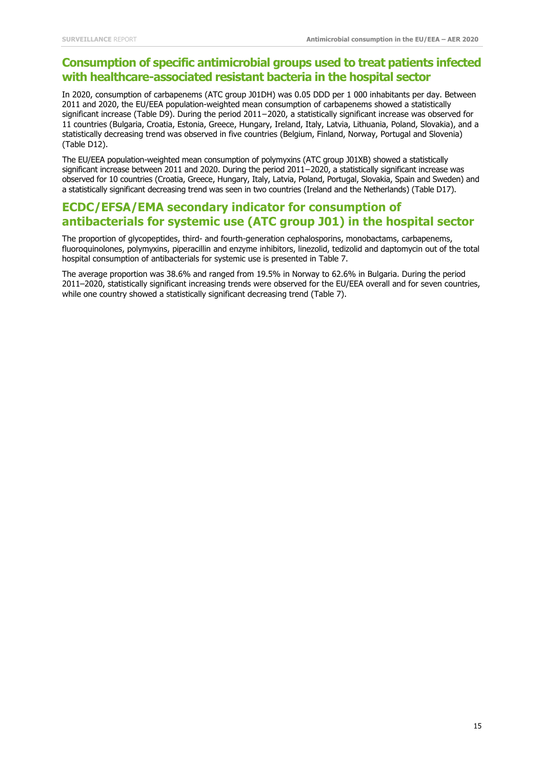### **Consumption of specific antimicrobial groups used to treat patients infected with healthcare-associated resistant bacteria in the hospital sector**

In 2020, consumption of carbapenems (ATC group J01DH) was 0.05 DDD per 1 000 inhabitants per day. Between 2011 and 2020, the EU/EEA population-weighted mean consumption of carbapenems showed a statistically significant increase (Table D9). During the period 2011−2020, a statistically significant increase was observed for 11 countries (Bulgaria, Croatia, Estonia, Greece, Hungary, Ireland, Italy, Latvia, Lithuania, Poland, Slovakia), and a statistically decreasing trend was observed in five countries (Belgium, Finland, Norway, Portugal and Slovenia) (Table D12).

The EU/EEA population-weighted mean consumption of polymyxins (ATC group J01XB) showed a statistically significant increase between 2011 and 2020. During the period 2011−2020, a statistically significant increase was observed for 10 countries (Croatia, Greece, Hungary, Italy, Latvia, Poland, Portugal, Slovakia, Spain and Sweden) and a statistically significant decreasing trend was seen in two countries (Ireland and the Netherlands) (Table D17).

### **ECDC/EFSA/EMA secondary indicator for consumption of antibacterials for systemic use (ATC group J01) in the hospital sector**

The proportion of glycopeptides, third- and fourth-generation cephalosporins, monobactams, carbapenems, fluoroquinolones, polymyxins, piperacillin and enzyme inhibitors, linezolid, tedizolid and daptomycin out of the total hospital consumption of antibacterials for systemic use is presented in Table 7.

The average proportion was 38.6% and ranged from 19.5% in Norway to 62.6% in Bulgaria. During the period 2011–2020, statistically significant increasing trends were observed for the EU/EEA overall and for seven countries, while one country showed a statistically significant decreasing trend (Table 7).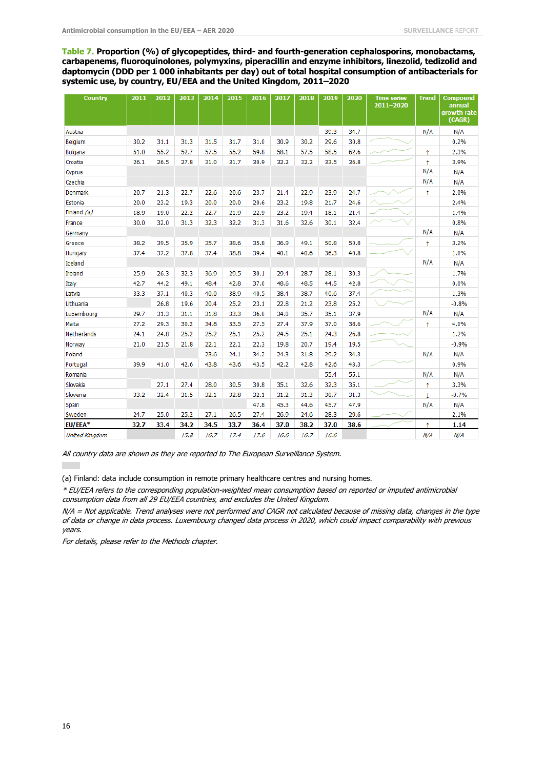**Table 7. Proportion (%) of glycopeptides, third- and fourth-generation cephalosporins, monobactams, carbapenems, fluoroquinolones, polymyxins, piperacillin and enzyme inhibitors, linezolid, tedizolid and daptomycin (DDD per 1 000 inhabitants per day) out of total hospital consumption of antibacterials for systemic use, by country, EU/EEA and the United Kingdom, 2011–2020**

| <b>Country</b>      | 2011 | 2012 | 2013 | 2014 | 2015 | 2016 | 2017 | 2018 | 2019 | 2020 | <b>Time series</b><br>2011-2020 | Trend | <b>Compound</b><br>annual<br>growth rate<br>(CAGR) |
|---------------------|------|------|------|------|------|------|------|------|------|------|---------------------------------|-------|----------------------------------------------------|
| Austria             |      |      |      |      |      |      |      |      | 39.3 | 34.7 |                                 | N/A   | N/A                                                |
| Belgium             | 30.2 | 31.1 | 31.3 | 31.5 | 31.7 | 31.0 | 30.9 | 30.2 | 29.6 | 30.8 |                                 |       | 0.2%                                               |
| <b>Bulgaria</b>     | 51.0 | 55.2 | 52.7 | 57.5 | 55.2 | 59.8 | 58.1 | 57.5 | 58.5 | 62.6 |                                 | ۴     | 2.3%                                               |
| Croatia             | 26.1 | 26.5 | 27.8 | 31.0 | 31.7 | 30.9 | 32.2 | 32.2 | 33.5 | 36.8 |                                 | Ť     | 3.9%                                               |
| Cyprus              |      |      |      |      |      |      |      |      |      |      |                                 | N/A   | N/A                                                |
| Czechia             |      |      |      |      |      |      |      |      |      |      |                                 | N/A   | N/A                                                |
| Denmark             | 20.7 | 21.3 | 22.7 | 22.6 | 20.6 | 23.7 | 21.4 | 22.9 | 23.9 | 24.7 |                                 | ٠     | 2.0%                                               |
| Estonia             | 20.0 | 23.2 | 19.3 | 20.0 | 20.0 | 20.6 | 23.2 | 19.8 | 21.7 | 24.6 |                                 |       | 2.4%                                               |
| Finland $(a)$       | 18.9 | 19.0 | 22.2 | 22.7 | 21.9 | 22.9 | 23.2 | 19.4 | 18.1 | 21.4 |                                 |       | 1.4%                                               |
| France              | 30.0 | 32.0 | 31.3 | 32.3 | 32.2 | 31.3 | 31.6 | 32.6 | 30.1 | 32.4 |                                 |       | 0.8%                                               |
| Germany             |      |      |      |      |      |      |      |      |      |      |                                 | N/A   | N/A                                                |
| Greece              | 38.2 | 39.5 | 35.9 | 35.7 | 38.6 | 35.8 | 36.9 | 49.1 | 50.8 | 50.8 |                                 | Ť     | 3.2%                                               |
| Hungary             | 37.4 | 37.2 | 37.8 | 37.4 | 38.8 | 39.4 | 40.1 | 40.6 | 36.3 | 40.8 |                                 |       | 1.0%                                               |
| Iceland             |      |      |      |      |      |      |      |      |      |      |                                 | N/A   | N/A                                                |
| <b>Ireland</b>      | 25.9 | 26.3 | 32.3 | 36.9 | 29.5 | 30.1 | 29.4 | 28.7 | 28.1 | 30.3 |                                 |       | 1.7%                                               |
| Italy               | 42.7 | 44.2 | 49.1 | 48.4 | 42.8 | 37.0 | 48.6 | 48.5 | 44.5 | 42.8 |                                 |       | 0.0%                                               |
| Latvia              | 33.3 | 37.1 | 40.3 | 40.0 | 38.9 | 40.5 | 38.4 | 38.7 | 40.6 | 37.4 |                                 |       | 1.3%                                               |
| Lithuania           |      | 26.8 | 19.6 | 20.4 | 25.2 | 23.1 | 22.8 | 21.2 | 23.8 | 25.2 |                                 |       | $-0.8%$                                            |
| Luxembourg          | 29.7 | 31.3 | 31.1 | 31.8 | 33.3 | 36.0 | 34.0 | 35.7 | 35.1 | 37.9 |                                 | N/A   | N/A                                                |
| Malta               | 27.2 | 29.3 | 30.2 | 34.8 | 33.5 | 27.5 | 27.4 | 37.9 | 37.0 | 38.6 |                                 | Ť     | 4.0%                                               |
| Netherlands         | 24.1 | 24.8 | 25.2 | 25.2 | 25.1 | 25.2 | 24.5 | 25.1 | 24.3 | 26.8 |                                 |       | 1.2%                                               |
| Norway              | 21.0 | 21.5 | 21.8 | 22.1 | 22.1 | 22.3 | 19.8 | 20.7 | 19.4 | 19.5 |                                 |       | $-0.9%$                                            |
| Poland              |      |      |      | 23.6 | 24.1 | 34.2 | 24.3 | 31.8 | 29.2 | 34.3 |                                 | N/A   | N/A                                                |
| Portugal            | 39.9 | 41.0 | 42.6 | 43.8 | 43.6 | 43.5 | 42.2 | 42.8 | 42.6 | 43.3 |                                 |       | 0.9%                                               |
| Romania             |      |      |      |      |      |      |      |      | 55.4 | 55.1 |                                 | N/A   | N/A                                                |
| Slovakia            |      | 27.1 | 27.4 | 28.0 | 30.5 | 30.8 | 35.1 | 32.6 | 32.3 | 35.1 |                                 | Ť     | 3.3%                                               |
| Slovenia            | 33.2 | 32.4 | 31.5 | 32.1 | 32.8 | 32.1 | 31.2 | 31.3 | 30.7 | 31.3 |                                 |       | $-0.7%$                                            |
| Spain               |      |      |      |      |      | 47.8 | 45.3 | 44.6 | 45.7 | 47.9 |                                 | N/A   | N/A                                                |
| Sweden              | 24.7 | 25.0 | 25.2 | 27.1 | 26.5 | 27.4 | 26.9 | 24.6 | 28.3 | 29.6 |                                 |       | 2.1%                                               |
| EU/EEA <sup>*</sup> | 32.7 | 33.4 | 34.2 | 34.5 | 33.7 | 36.4 | 37.0 | 38.2 | 37.0 | 38.6 |                                 | Ť     | 1.14                                               |
| United Kingdom      |      |      | 15.8 | 16.7 | 17.4 | 17.6 | 16.6 | 16.7 | 16.6 |      |                                 | N/A   | N/A                                                |

All country data are shown as they are reported to The European Surveillance System.

= Hospital sector data not reported. $\mathcal{L}_{\mathcal{A}}$ 

(a) Finland: data include consumption in remote primary healthcare centres and nursing homes.

\* EU/EEA refers to the corresponding population-weighted mean consumption based on reported or imputed antimicrobial consumption data from all 29 EU/EEA countries, and excludes the United Kingdom.

N/A = Not applicable. Trend analyses were not performed and CAGR not calculated because of missing data, changes in the type of data or change in data process. Luxembourg changed data process in 2020, which could impact comparability with previous years.

For details, please refer to the Methods chapter.

×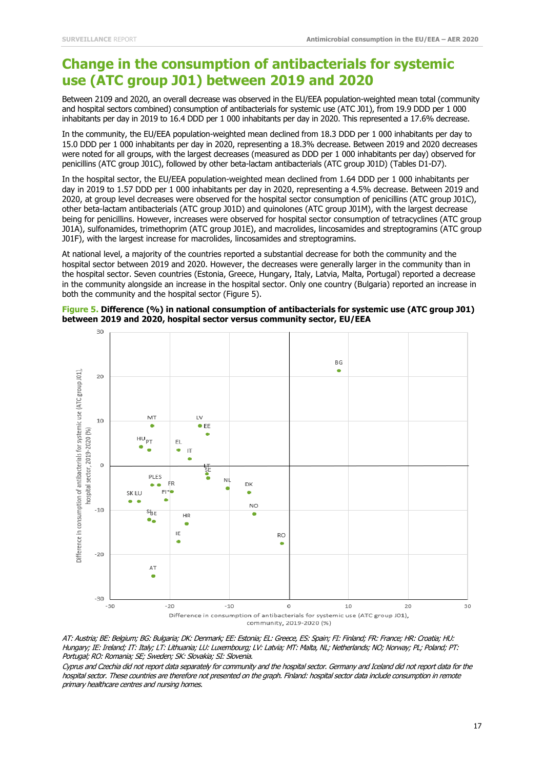## **Change in the consumption of antibacterials for systemic use (ATC group J01) between 2019 and 2020**

Between 2109 and 2020, an overall decrease was observed in the EU/EEA population-weighted mean total (community and hospital sectors combined) consumption of antibacterials for systemic use (ATC J01), from 19.9 DDD per 1 000 inhabitants per day in 2019 to 16.4 DDD per 1 000 inhabitants per day in 2020. This represented a 17.6% decrease.

In the community, the EU/EEA population-weighted mean declined from 18.3 DDD per 1 000 inhabitants per day to 15.0 DDD per 1 000 inhabitants per day in 2020, representing a 18.3% decrease. Between 2019 and 2020 decreases were noted for all groups, with the largest decreases (measured as DDD per 1 000 inhabitants per day) observed for penicillins (ATC group J01C), followed by other beta-lactam antibacterials (ATC group J01D) (Tables D1-D7).

In the hospital sector, the EU/EEA population-weighted mean declined from 1.64 DDD per 1 000 inhabitants per day in 2019 to 1.57 DDD per 1 000 inhabitants per day in 2020, representing a 4.5% decrease. Between 2019 and 2020, at group level decreases were observed for the hospital sector consumption of penicillins (ATC group J01C), other beta-lactam antibacterials (ATC group J01D) and quinolones (ATC group J01M), with the largest decrease being for penicillins. However, increases were observed for hospital sector consumption of tetracyclines (ATC group J01A), sulfonamides, trimethoprim (ATC group J01E), and macrolides, lincosamides and streptogramins (ATC group J01F), with the largest increase for macrolides, lincosamides and streptogramins.

At national level, a majority of the countries reported a substantial decrease for both the community and the hospital sector between 2019 and 2020. However, the decreases were generally larger in the community than in the hospital sector. Seven countries (Estonia, Greece, Hungary, Italy, Latvia, Malta, Portugal) reported a decrease in the community alongside an increase in the hospital sector. Only one country (Bulgaria) reported an increase in both the community and the hospital sector (Figure 5).





community, 2019-2020 (%)

AT: Austria; BE: Belgium; BG: Bulgaria; DK: Denmark; EE: Estonia; EL: Greece, ES: Spain; FI: Finland; FR: France; HR: Croatia; HU: Hungary; IE: Ireland; IT: Italy; LT: Lithuania; LU: Luxembourg; LV: Latvia; MT: Malta, NL; Netherlands; NO; Norway; PL; Poland; PT: Portugal; RO: Romania; SE; Sweden; SK: Slovakia; SI: Slovenia.

Cyprus and Czechia did not report data separately for community and the hospital sector. Germany and Iceland did not report data for the hospital sector. These countries are therefore not presented on the graph. Finland: hospital sector data include consumption in remote primary healthcare centres and nursing homes.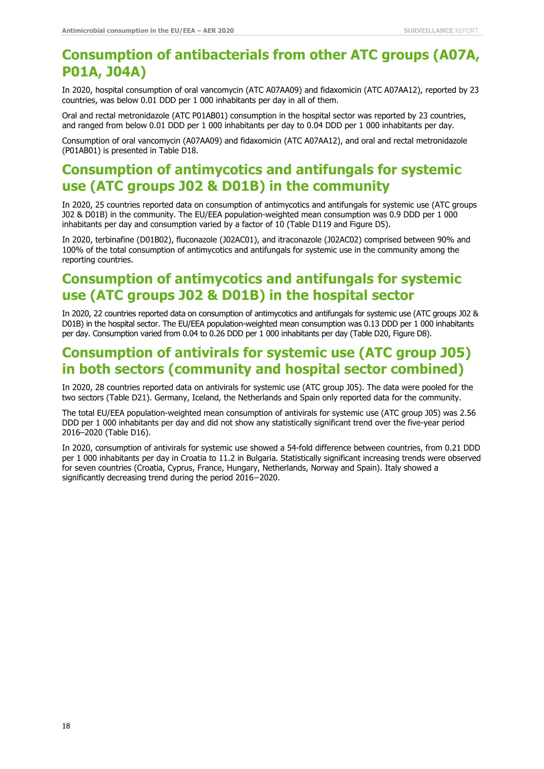### **Consumption of antibacterials from other ATC groups (A07A, P01A, J04A)**

In 2020, hospital consumption of oral vancomycin (ATC A07AA09) and fidaxomicin (ATC A07AA12), reported by 23 countries, was below 0.01 DDD per 1 000 inhabitants per day in all of them.

Oral and rectal metronidazole (ATC P01AB01) consumption in the hospital sector was reported by 23 countries, and ranged from below 0.01 DDD per 1 000 inhabitants per day to 0.04 DDD per 1 000 inhabitants per day.

Consumption of oral vancomycin (A07AA09) and fidaxomicin (ATC A07AA12), and oral and rectal metronidazole (P01AB01) is presented in Table D18.

## **Consumption of antimycotics and antifungals for systemic use (ATC groups J02 & D01B) in the community**

In 2020, 25 countries reported data on consumption of antimycotics and antifungals for systemic use (ATC groups J02 & D01B) in the community. The EU/EEA population-weighted mean consumption was 0.9 DDD per 1 000 inhabitants per day and consumption varied by a factor of 10 (Table D119 and Figure D5).

In 2020, terbinafine (D01B02), fluconazole (J02AC01), and itraconazole (J02AC02) comprised between 90% and 100% of the total consumption of antimycotics and antifungals for systemic use in the community among the reporting countries.

## **Consumption of antimycotics and antifungals for systemic use (ATC groups J02 & D01B) in the hospital sector**

In 2020, 22 countries reported data on consumption of antimycotics and antifungals for systemic use (ATC groups J02 & D01B) in the hospital sector. The EU/EEA population-weighted mean consumption was 0.13 DDD per 1 000 inhabitants per day. Consumption varied from 0.04 to 0.26 DDD per 1 000 inhabitants per day (Table D20, Figure D8).

## **Consumption of antivirals for systemic use (ATC group J05) in both sectors (community and hospital sector combined)**

In 2020, 28 countries reported data on antivirals for systemic use (ATC group J05). The data were pooled for the two sectors (Table D21). Germany, Iceland, the Netherlands and Spain only reported data for the community.

The total EU/EEA population-weighted mean consumption of antivirals for systemic use (ATC group J05) was 2.56 DDD per 1 000 inhabitants per day and did not show any statistically significant trend over the five-year period 2016-2020 (Table D16).

In 2020, consumption of antivirals for systemic use showed a 54-fold difference between countries, from 0.21 DDD per 1 000 inhabitants per day in Croatia to 11.2 in Bulgaria. Statistically significant increasing trends were observed for seven countries (Croatia, Cyprus, France, Hungary, Netherlands, Norway and Spain). Italy showed a significantly decreasing trend during the period 2016−2020.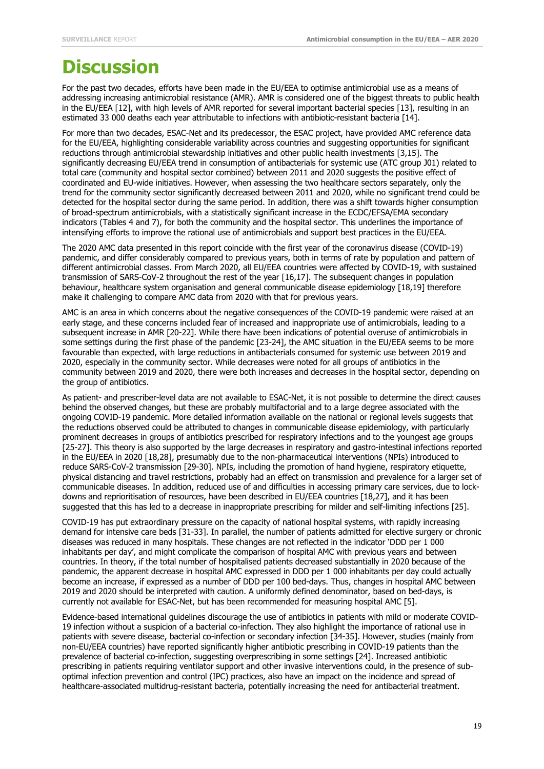# **Discussion**

For the past two decades, efforts have been made in the EU/EEA to optimise antimicrobial use as a means of addressing increasing antimicrobial resistance (AMR). AMR is considered one of the biggest threats to public health in the EU/EEA [12], with high levels of AMR reported for several important bacterial species [13], resulting in an estimated 33 000 deaths each year attributable to infections with antibiotic-resistant bacteria [14].

For more than two decades, ESAC-Net and its predecessor, the ESAC project, have provided AMC reference data for the EU/EEA, highlighting considerable variability across countries and suggesting opportunities for significant reductions through antimicrobial stewardship initiatives and other public health investments [3,15]. The significantly decreasing EU/EEA trend in consumption of antibacterials for systemic use (ATC group J01) related to total care (community and hospital sector combined) between 2011 and 2020 suggests the positive effect of coordinated and EU-wide initiatives. However, when assessing the two healthcare sectors separately, only the trend for the community sector significantly decreased between 2011 and 2020, while no significant trend could be detected for the hospital sector during the same period. In addition, there was a shift towards higher consumption of broad-spectrum antimicrobials, with a statistically significant increase in the ECDC/EFSA/EMA secondary indicators (Tables 4 and 7), for both the community and the hospital sector. This underlines the importance of intensifying efforts to improve the rational use of antimicrobials and support best practices in the EU/EEA.

The 2020 AMC data presented in this report coincide with the first year of the coronavirus disease (COVID-19) pandemic, and differ considerably compared to previous years, both in terms of rate by population and pattern of different antimicrobial classes. From March 2020, all EU/EEA countries were affected by COVID-19, with sustained transmission of SARS-CoV-2 throughout the rest of the year [16,17]. The subsequent changes in population behaviour, healthcare system organisation and general communicable disease epidemiology [18,19] therefore make it challenging to compare AMC data from 2020 with that for previous years.

AMC is an area in which concerns about the negative consequences of the COVID-19 pandemic were raised at an early stage, and these concerns included fear of increased and inappropriate use of antimicrobials, leading to a subsequent increase in AMR [20-22]. While there have been indications of potential overuse of antimicrobials in some settings during the first phase of the pandemic [23-24], the AMC situation in the EU/EEA seems to be more favourable than expected, with large reductions in antibacterials consumed for systemic use between 2019 and 2020, especially in the community sector. While decreases were noted for all groups of antibiotics in the community between 2019 and 2020, there were both increases and decreases in the hospital sector, depending on the group of antibiotics.

As patient- and prescriber-level data are not available to ESAC-Net, it is not possible to determine the direct causes behind the observed changes, but these are probably multifactorial and to a large degree associated with the ongoing COVID-19 pandemic. More detailed information available on the national or regional levels suggests that the reductions observed could be attributed to changes in communicable disease epidemiology, with particularly prominent decreases in groups of antibiotics prescribed for respiratory infections and to the youngest age groups [25-27]. This theory is also supported by the large decreases in respiratory and gastro-intestinal infections reported in the EU/EEA in 2020 [18,28], presumably due to the non-pharmaceutical interventions (NPIs) introduced to reduce SARS-CoV-2 transmission [29-30]. NPIs, including the promotion of hand hygiene, respiratory etiquette, physical distancing and travel restrictions, probably had an effect on transmission and prevalence for a larger set of communicable diseases. In addition, reduced use of and difficulties in accessing primary care services, due to lockdowns and reprioritisation of resources, have been described in EU/EEA countries [18,27], and it has been suggested that this has led to a decrease in inappropriate prescribing for milder and self-limiting infections [25].

COVID-19 has put extraordinary pressure on the capacity of national hospital systems, with rapidly increasing demand for intensive care beds [31-33]. In parallel, the number of patients admitted for elective surgery or chronic diseases was reduced in many hospitals. These changes are not reflected in the indicator 'DDD per 1 000 inhabitants per day', and might complicate the comparison of hospital AMC with previous years and between countries. In theory, if the total number of hospitalised patients decreased substantially in 2020 because of the pandemic, the apparent decrease in hospital AMC expressed in DDD per 1 000 inhabitants per day could actually become an increase, if expressed as a number of DDD per 100 bed-days. Thus, changes in hospital AMC between 2019 and 2020 should be interpreted with caution. A uniformly defined denominator, based on bed-days, is currently not available for ESAC-Net, but has been recommended for measuring hospital AMC [5].

Evidence-based international guidelines discourage the use of antibiotics in patients with mild or moderate COVID-19 infection without a suspicion of a bacterial co-infection. They also highlight the importance of rational use in patients with severe disease, bacterial co-infection or secondary infection [34-35]. However, studies (mainly from non-EU/EEA countries) have reported significantly higher antibiotic prescribing in COVID-19 patients than the prevalence of bacterial co-infection, suggesting overprescribing in some settings [24]. Increased antibiotic prescribing in patients requiring ventilator support and other invasive interventions could, in the presence of suboptimal infection prevention and control (IPC) practices, also have an impact on the incidence and spread of healthcare-associated multidrug-resistant bacteria, potentially increasing the need for antibacterial treatment.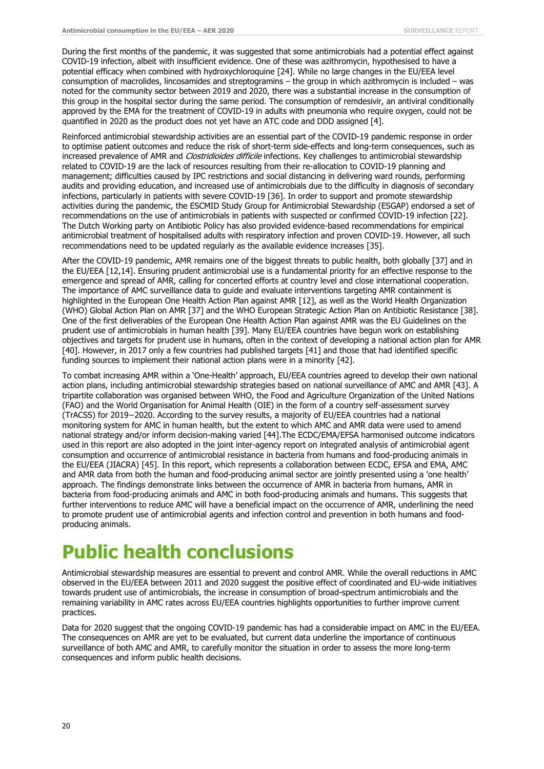During the first months of the pandemic, it was suggested that some antimicrobials had a potential effect against COVID-19 infection, albeit with insufficient evidence. One of these was azithromycin, hypothesised to have a potential efficacy when combined with hydroxychloroquine [24]. While no large changes in the EU/EEA level consumption of macrolides, lincosamides and streptogramins – the group in which azithromycin is included – was noted for the community sector between 2019 and 2020, there was a substantial increase in the consumption of this group in the hospital sector during the same period. The consumption of remdesivir, an antiviral conditionally approved by the EMA for the treatment of COVID-19 in adults with pneumonia who require oxygen, could not be quantified in 2020 as the product does not yet have an ATC code and DDD assigned [4].

Reinforced antimicrobial stewardship activities are an essential part of the COVID-19 pandemic response in order to optimise patient outcomes and reduce the risk of short-term side-effects and long-term consequences, such as increased prevalence of AMR and *Clostridioides difficile* infections. Key challenges to antimicrobial stewardship related to COVID-19 are the lack of resources resulting from their re-allocation to COVID-19 planning and management; difficulties caused by IPC restrictions and social distancing in delivering ward rounds, performing audits and providing education, and increased use of antimicrobials due to the difficulty in diagnosis of secondary infections, particularly in patients with severe COVID-19 [36]. In order to support and promote stewardship activities during the pandemic, the ESCMID Study Group for Antimicrobial Stewardship (ESGAP) endorsed a set of recommendations on the use of antimicrobials in patients with suspected or confirmed COVID-19 infection [22]. The Dutch Working party on Antibiotic Policy has also provided evidence-based recommendations for empirical antimicrobial treatment of hospitalised adults with respiratory infection and proven COVID-19. However, all such recommendations need to be updated regularly as the available evidence increases [35].

After the COVID-19 pandemic, AMR remains one of the biggest threats to public health, both globally [37] and in the EU/EEA [12,14]. Ensuring prudent antimicrobial use is a fundamental priority for an effective response to the emergence and spread of AMR, calling for concerted efforts at country level and close international cooperation. The importance of AMC surveillance data to guide and evaluate interventions targeting AMR containment is highlighted in the European One Health Action Plan against AMR [12], as well as the World Health Organization (WHO) Global Action Plan on AMR [37] and the WHO European Strategic Action Plan on Antibiotic Resistance [38]. One of the first deliverables of the European One Health Action Plan against AMR was the [EU Guidelines on the](https://eur-lex.europa.eu/legal-content/EN/TXT/?uri=CELEX:52017XC0701(01))  [prudent use of antimicrobials in human health](https://eur-lex.europa.eu/legal-content/EN/TXT/?uri=CELEX:52017XC0701(01)) [39]. Many EU/EEA countries have begun work on establishing objectives and targets for prudent use in humans, often in the context of developing a national action plan for AMR [40]. However, in 2017 only a few countries had published targets [41] and those that had identified specific funding sources to implement their national action plans were in a minority [42].

To combat increasing AMR within a 'One-Health' approach, EU/EEA countries agreed to develop their own national action plans, including antimicrobial stewardship strategies based on national surveillance of AMC and AMR [43]. A tripartite collaboration was organised between WHO, the Food and Agriculture Organization of the United Nations (FAO) and the World Organisation for Animal Health (OIE) in the form of a country self-assessment survey (TrACSS) for 2019−2020. According to the survey results, a majority of EU/EEA countries had a national monitoring system for AMC in human health, but the extent to which AMC and AMR data were used to amend national strategy and/or inform decision-making varied [44].The ECDC/EMA/EFSA harmonised outcome indicators used in this report are also adopted in the joint inter-agency report on integrated analysis of antimicrobial agent consumption and occurrence of antimicrobial resistance in bacteria from humans and food-producing animals in the EU/EEA (JIACRA) [45]. In this report, which represents a collaboration between ECDC, EFSA and EMA, AMC and AMR data from both the human and food-producing animal sector are jointly presented using a 'one health' approach. The findings demonstrate links between the occurrence of AMR in bacteria from humans, AMR in bacteria from food-producing animals and AMC in both food-producing animals and humans. This suggests that further interventions to reduce AMC will have a beneficial impact on the occurrence of AMR, underlining the need to promote prudent use of antimicrobial agents and infection control and prevention in both humans and foodproducing animals.

# **Public health conclusions**

Antimicrobial stewardship measures are essential to prevent and control AMR. While the overall reductions in AMC observed in the EU/EEA between 2011 and 2020 suggest the positive effect of coordinated and EU-wide initiatives towards prudent use of antimicrobials, the increase in consumption of broad-spectrum antimicrobials and the remaining variability in AMC rates across EU/EEA countries highlights opportunities to further improve current practices.

Data for 2020 suggest that the ongoing COVID-19 pandemic has had a considerable impact on AMC in the EU/EEA. The consequences on AMR are yet to be evaluated, but current data underline the importance of continuous surveillance of both AMC and AMR, to carefully monitor the situation in order to assess the more long-term consequences and inform public health decisions.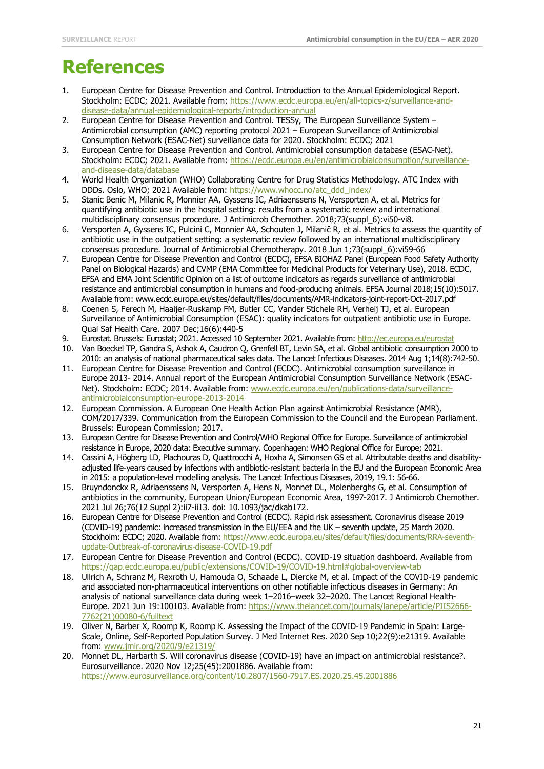# **References**

- 1. European Centre for Disease Prevention and Control. Introduction to the Annual Epidemiological Report. Stockholm: ECDC; 2021. Available from: [https://www.ecdc.europa.eu/en/all-topics-z/surveillance-and](https://www.ecdc.europa.eu/en/all-topics-z/surveillance-and-disease-data/annual-epidemiological-reports/introduction-annual)[disease-data/annual-epidemiological-reports/introduction-annual](https://www.ecdc.europa.eu/en/all-topics-z/surveillance-and-disease-data/annual-epidemiological-reports/introduction-annual)
- 2. European Centre for Disease Prevention and Control. TESSy, The European Surveillance System Antimicrobial consumption (AMC) reporting protocol 2021 – European Surveillance of Antimicrobial Consumption Network (ESAC-Net) surveillance data for 2020. Stockholm: ECDC; 2021
- 3. European Centre for Disease Prevention and Control. Antimicrobial consumption database (ESAC-Net). Stockholm: ECDC; 2021. Available from: [https://ecdc.europa.eu/en/antimicrobialconsumption/surveillance](https://ecdc.europa.eu/en/antimicrobialconsumption/surveillance-and-disease-data/database)[and-disease-data/database](https://ecdc.europa.eu/en/antimicrobialconsumption/surveillance-and-disease-data/database)
- 4. World Health Organization (WHO) Collaborating Centre for Drug Statistics Methodology. ATC Index with DDDs. Oslo, WHO; 2021 Available from: [https://www.whocc.no/atc\\_ddd\\_index/](https://www.whocc.no/atc_ddd_index/)
- 5. Stanic Benic M, Milanic R, Monnier AA, Gyssens IC, Adriaenssens N, Versporten A, et al. Metrics for quantifying antibiotic use in the hospital setting: results from a systematic review and international multidisciplinary consensus procedure. J Antimicrob Chemother. 2018;73(suppl\_6):vi50-vi8.
- 6. Versporten A, Gyssens IC, Pulcini C, Monnier AA, Schouten J, Milanič R, et al. Metrics to assess the quantity of antibiotic use in the outpatient setting: a systematic review followed by an international multidisciplinary consensus procedure. Journal of Antimicrobial Chemotherapy. 2018 Jun 1;73(suppl\_6):vi59-66
- 7. European Centre for Disease Prevention and Control (ECDC), EFSA BIOHAZ Panel (European Food Safety Authority Panel on Biological Hazards) and CVMP (EMA Committee for Medicinal Products for Veterinary Use), 2018. ECDC, EFSA and EMA Joint Scientific Opinion on a list of outcome indicators as regards surveillance of antimicrobial resistance and antimicrobial consumption in humans and food-producing animals. EFSA Journal 2018;15(10):5017. Available from: www.ecdc.europa.eu/sites/default/files/documents/AMR-indicators-joint-report-Oct-2017.pdf
- 8. Coenen S, Ferech M, Haaijer-Ruskamp FM, Butler CC, Vander Stichele RH, Verheij TJ, et al. European Surveillance of Antimicrobial Consumption (ESAC): quality indicators for outpatient antibiotic use in Europe. Qual Saf Health Care. 2007 Dec;16(6):440-5
- 9. Eurostat. Brussels: Eurostat; 2021. Accessed 10 September 2021. Available from[: http://ec.europa.eu/eurostat](http://ec.europa.eu/eurostat)
- 10. Van Boeckel TP, Gandra S, Ashok A, Caudron Q, Grenfell BT, Levin SA, et al. Global antibiotic consumption 2000 to 2010: an analysis of national pharmaceutical sales data. The Lancet Infectious Diseases. 2014 Aug 1;14(8):742-50.
- 11. European Centre for Disease Prevention and Control (ECDC). Antimicrobial consumption surveillance in Europe 2013- 2014. Annual report of the European Antimicrobial Consumption Surveillance Network (ESACNet). Stockholm: ECDC; 2014. Available from: [www.ecdc.europa.eu/en/publications-data/surveillance](http://www.ecdc.europa.eu/en/publications-data/surveillance-antimicrobialconsumption-europe-2013-2014)[antimicrobialconsumption-europe-2013-2014](http://www.ecdc.europa.eu/en/publications-data/surveillance-antimicrobialconsumption-europe-2013-2014)
- 12. European Commission. A European One Health Action Plan against Antimicrobial Resistance (AMR), COM/2017/339. Communication from the European Commission to the Council and the European Parliament. Brussels: European Commission; 2017.
- 13. European Centre for Disease Prevention and Control/WHO Regional Office for Europe. Surveillance of antimicrobial resistance in Europe, 2020 data: Executive summary. Copenhagen: WHO Regional Office for Europe; 2021.
- 14. Cassini A, Högberg LD, Plachouras D, Quattrocchi A, Hoxha A, Simonsen GS et al. Attributable deaths and disabilityadjusted life-years caused by infections with antibiotic-resistant bacteria in the EU and the European Economic Area in 2015: a population-level modelling analysis. The Lancet Infectious Diseases, 2019, 19.1: 56-66.
- 15. Bruyndonckx R, Adriaenssens N, Versporten A, Hens N, Monnet DL, Molenberghs G, et al. Consumption of antibiotics in the community, European Union/European Economic Area, 1997-2017. J Antimicrob Chemother. 2021 Jul 26;76(12 Suppl 2):ii7-ii13. doi: 10.1093/jac/dkab172.
- 16. European Centre for Disease Prevention and Control (ECDC). Rapid risk assessment. Coronavirus disease 2019 (COVID-19) pandemic: increased transmission in the EU/EEA and the UK – seventh update, 25 March 2020. Stockholm: ECDC; 2020. Available from: [https://www.ecdc.europa.eu/sites/default/files/documents/RRA-seventh](https://www.ecdc.europa.eu/sites/default/files/documents/RRA-seventh-update-Outbreak-of-coronavirus-disease-COVID-19.pdf)[update-Outbreak-of-coronavirus-disease-COVID-19.pdf](https://www.ecdc.europa.eu/sites/default/files/documents/RRA-seventh-update-Outbreak-of-coronavirus-disease-COVID-19.pdf)
- 17. European Centre for Disease Prevention and Control (ECDC). COVID-19 situation dashboard. Available from <https://qap.ecdc.europa.eu/public/extensions/COVID-19/COVID-19.html#global-overview-tab>
- 18. Ullrich A, Schranz M, Rexroth U, Hamouda O, Schaade L, Diercke M, et al. Impact of the COVID-19 pandemic and associated non-pharmaceutical interventions on other notifiable infectious diseases in Germany: An analysis of national surveillance data during week 1–2016–week 32–2020. The Lancet Regional Health-Europe. 2021 Jun 19:100103. Available from: [https://www.thelancet.com/journals/lanepe/article/PIIS2666-](https://www.thelancet.com/journals/lanepe/article/PIIS2666-7762(21)00080-6/fulltext) [7762\(21\)00080-6/fulltext](https://www.thelancet.com/journals/lanepe/article/PIIS2666-7762(21)00080-6/fulltext)
- 19. Oliver N, Barber X, Roomp K, Roomp K. Assessing the Impact of the COVID-19 Pandemic in Spain: Large-Scale, Online, Self-Reported Population Survey. J Med Internet Res. 2020 Sep 10;22(9):e21319. Available from: [www.jmir.org/2020/9/e21319/](http://www.jmir.org/2020/9/e21319/)
- 20. Monnet DL, Harbarth S. Will coronavirus disease (COVID-19) have an impact on antimicrobial resistance?. Eurosurveillance. 2020 Nov 12;25(45):2001886. Available from: <https://www.eurosurveillance.org/content/10.2807/1560-7917.ES.2020.25.45.2001886>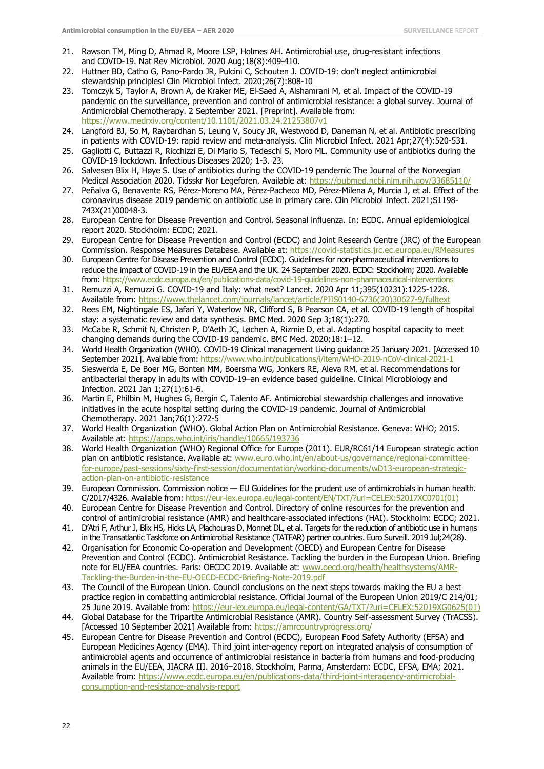- 21. Rawson TM, Ming D, Ahmad R, Moore LSP, Holmes AH. Antimicrobial use, drug-resistant infections and COVID-19. Nat Rev Microbiol. 2020 Aug;18(8):409-410.
- 22. Huttner BD, Catho G, Pano-Pardo JR, Pulcini C, Schouten J. COVID-19: don't neglect antimicrobial stewardship principles! Clin Microbiol Infect. 2020;26(7):808-10
- 23. Tomczyk S, Taylor A, Brown A, de Kraker ME, El-Saed A, Alshamrani M, et al. Impact of the COVID-19 pandemic on the surveillance, prevention and control of antimicrobial resistance: a global survey. Journal of Antimicrobial Chemotherapy. 2 September 2021. [Preprint]. Available from: <https://www.medrxiv.org/content/10.1101/2021.03.24.21253807v1>
- 24. Langford BJ, So M, Raybardhan S, Leung V, Soucy JR, Westwood D, Daneman N, et al. [Antibiotic prescribing](https://pubmed.ncbi.nlm.nih.gov/33418017/)  [in patients with COVID-19: rapid review and meta-analysis.](https://pubmed.ncbi.nlm.nih.gov/33418017/) Clin Microbiol Infect. 2021 Apr;27(4):520-531.
- 25. Gagliotti C, Buttazzi R, Ricchizzi E, Di Mario S, Tedeschi S, Moro ML. Community use of antibiotics during the COVID-19 lockdown. Infectious Diseases 2020; 1-3. 23.
- 26. Salvesen Blix H, Høye S. Use of antibiotics during the COVID-19 pandemic The Journal of the Norwegian Medical Association 2020. Tidsskr Nor Legeforen. Available at:<https://pubmed.ncbi.nlm.nih.gov/33685110/>
- 27. Peñalva G, Benavente RS, Pérez-Moreno MA, Pérez-Pacheco MD, Pérez-Milena A, Murcia J, et al. Effect of the coronavirus disease 2019 pandemic on antibiotic use in primary care. Clin Microbiol Infect. 2021;S1198- 743X(21)00048-3.
- 28. European Centre for Disease Prevention and Control. Seasonal influenza. In: ECDC. Annual epidemiological report 2020. Stockholm: ECDC; 2021.
- 29. European Centre for Disease Prevention and Control (ECDC) and Joint Research Centre (JRC) of the European Commission. Response Measures Database. Available at:<https://covid-statistics.jrc.ec.europa.eu/RMeasures>
- 30. European Centre for Disease Prevention and Control (ECDC). Guidelines for non-pharmaceutical interventions to reduce the impact of COVID-19 in the EU/EEA and the UK. 24 September 2020. ECDC: Stockholm; 2020. Available from: https://www.ecdc.europa.eu/en/publications-data/covid-19-quidelines-non-pharmaceutical-interventions
- 31. Remuzzi A, Remuzzi G. COVID-19 and Italy: what next? Lancet. 2020 Apr 11;395(10231):1225-1228. Available from: [https://www.thelancet.com/journals/lancet/article/PIIS0140-6736\(20\)30627-9/fulltext](https://www.thelancet.com/journals/lancet/article/PIIS0140-6736(20)30627-9/fulltext)
- 32. Rees EM, Nightingale ES, Jafari Y, Waterlow NR, Clifford S, B Pearson CA, et al. COVID-19 length of hospital stay: a systematic review and data synthesis. BMC Med. 2020 Sep 3;18(1):270.
- 33. McCabe R, Schmit N, Christen P, D'Aeth JC, Løchen A, Rizmie D, et al. Adapting hospital capacity to meet changing demands during the COVID-19 pandemic. BMC Med. 2020;18:1–12.
- 34. World Health Organization (WHO). COVID-19 Clinical management Living guidance 25 January 2021. [Accessed 10 September 2021]. Available from:<https://www.who.int/publications/i/item/WHO-2019-nCoV-clinical-2021-1>
- 35. Sieswerda E, De Boer MG, Bonten MM, Boersma WG, Jonkers RE, Aleva RM, et al. Recommendations for antibacterial therapy in adults with COVID-19–an evidence based guideline. Clinical Microbiology and Infection. 2021 Jan 1;27(1):61-6.
- 36. Martin E, Philbin M, Hughes G, Bergin C, Talento AF. Antimicrobial stewardship challenges and innovative initiatives in the acute hospital setting during the COVID-19 pandemic. Journal of Antimicrobial Chemotherapy. 2021 Jan;76(1):272-5
- 37. World Health Organization (WHO). Global Action Plan on Antimicrobial Resistance. Geneva: WHO; 2015. Available at:<https://apps.who.int/iris/handle/10665/193736>
- 38. World Health Organization (WHO) Regional Office for Europe (2011). EUR/RC61/14 European strategic action plan on antibiotic resistance. Available at: [www.euro.who.int/en/about-us/governance/regional-committee](http://www.euro.who.int/en/about-us/governance/regional-committee-for-europe/past-sessions/sixty-first-session/documentation/working-documents/wD13-european-strategic-action-plan-on-antibiotic-resistance)[for-europe/past-sessions/sixty-first-session/documentation/working-documents/wD13-european-strategic](http://www.euro.who.int/en/about-us/governance/regional-committee-for-europe/past-sessions/sixty-first-session/documentation/working-documents/wD13-european-strategic-action-plan-on-antibiotic-resistance)[action-plan-on-antibiotic-resistance](http://www.euro.who.int/en/about-us/governance/regional-committee-for-europe/past-sessions/sixty-first-session/documentation/working-documents/wD13-european-strategic-action-plan-on-antibiotic-resistance)
- 39. European Commission. Commission notice EU Guidelines for the prudent use of antimicrobials in human health. C/2017/4326. Available from: [https://eur-lex.europa.eu/legal-content/EN/TXT/?uri=CELEX:52017XC0701\(01\)](https://eur-lex.europa.eu/legal-content/EN/TXT/?uri=CELEX:52017XC0701(01))
- 40. European Centre for Disease Prevention and Control. Directory of online resources for the prevention and control of antimicrobial resistance (AMR) and healthcare-associated infections (HAI). Stockholm: ECDC; 2021.
- 41. D'Atri F, Arthur J, Blix HS, Hicks LA, Plachouras D, Monnet DL, et al. Targets for the reduction of antibiotic use in humans in the Transatlantic Taskforce on Antimicrobial Resistance (TATFAR) partner countries. Euro Surveill. 2019 Jul;24(28).
- 42. Organisation for Economic Co-operation and Development (OECD) and European Centre for Disease Prevention and Control (ECDC). Antimicrobial Resistance. Tackling the burden in the European Union. Briefing note for EU/EEA countries. Paris: OECDC 2019. Available at: [www.oecd.org/health/healthsystems/AMR-](http://www.oecd.org/health/healthsystems/AMR-Tackling-the-Burden-in-the-EU-OECD-ECDC-Briefing-Note-2019.pdf)[Tackling-the-Burden-in-the-EU-OECD-ECDC-Briefing-Note-2019.pdf](http://www.oecd.org/health/healthsystems/AMR-Tackling-the-Burden-in-the-EU-OECD-ECDC-Briefing-Note-2019.pdf)
- 43. The Council of the European Union. Council conclusions on the next steps towards making the EU a best practice region in combatting antimicrobial resistance. Official Journal of the European Union 2019/C 214/01; 25 June 2019. Available from: [https://eur-lex.europa.eu/legal-content/GA/TXT/?uri=CELEX:52019XG0625\(01\)](https://eur-lex.europa.eu/legal-content/GA/TXT/?uri=CELEX:52019XG0625(01))
- 44. Global Database for the Tripartite Antimicrobial Resistance (AMR). Country Self-assessment Survey (TrACSS). [Accessed 10 September 2021] Available from:<https://amrcountryprogress.org/>
- 45. European Centre for Disease Prevention and Control (ECDC), European Food Safety Authority (EFSA) and European Medicines Agency (EMA). Third joint inter-agency report on integrated analysis of consumption of antimicrobial agents and occurrence of antimicrobial resistance in bacteria from humans and food-producing animals in the EU/EEA, JIACRA III. 2016–2018. Stockholm, Parma, Amsterdam: ECDC, EFSA, EMA; 2021. Available from: [https://www.ecdc.europa.eu/en/publications-data/third-joint-interagency-antimicrobial](https://www.ecdc.europa.eu/en/publications-data/third-joint-interagency-antimicrobial-consumption-and-resistance-analysis-report)[consumption-and-resistance-analysis-report](https://www.ecdc.europa.eu/en/publications-data/third-joint-interagency-antimicrobial-consumption-and-resistance-analysis-report)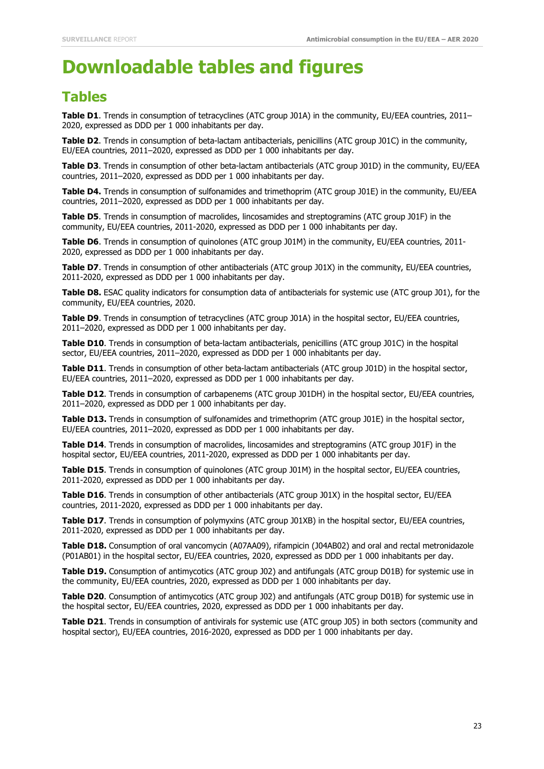# **Downloadable tables and figures**

## **Tables**

**Table D1**. Trends in consumption of tetracyclines (ATC group J01A) in the community, EU/EEA countries, 2011– 2020, expressed as DDD per 1 000 inhabitants per day.

**Table D2**. Trends in consumption of beta-lactam antibacterials, penicillins (ATC group J01C) in the community, EU/EEA countries, 2011–2020, expressed as DDD per 1 000 inhabitants per day.

**Table D3**. Trends in consumption of other beta-lactam antibacterials (ATC group J01D) in the community, EU/EEA countries, 2011–2020, expressed as DDD per 1 000 inhabitants per day.

**Table D4.** Trends in consumption of sulfonamides and trimethoprim (ATC group J01E) in the community, EU/EEA countries, 2011–2020, expressed as DDD per 1 000 inhabitants per day.

**Table D5**. Trends in consumption of macrolides, lincosamides and streptogramins (ATC group J01F) in the community, EU/EEA countries, 2011-2020, expressed as DDD per 1 000 inhabitants per day.

**Table D6**. Trends in consumption of quinolones (ATC group J01M) in the community, EU/EEA countries, 2011- 2020, expressed as DDD per 1 000 inhabitants per day.

**Table D7**. Trends in consumption of other antibacterials (ATC group J01X) in the community, EU/EEA countries, 2011-2020, expressed as DDD per 1 000 inhabitants per day.

**Table D8.** ESAC quality indicators for consumption data of antibacterials for systemic use (ATC group J01), for the community, EU/EEA countries, 2020.

**Table D9.** Trends in consumption of tetracyclines (ATC group J01A) in the hospital sector, EU/EEA countries, 2011–2020, expressed as DDD per 1 000 inhabitants per day.

**Table D10**. Trends in consumption of beta-lactam antibacterials, penicillins (ATC group J01C) in the hospital sector, EU/EEA countries, 2011–2020, expressed as DDD per 1 000 inhabitants per day.

**Table D11**. Trends in consumption of other beta-lactam antibacterials (ATC group J01D) in the hospital sector, EU/EEA countries, 2011–2020, expressed as DDD per 1 000 inhabitants per day.

**Table D12**. Trends in consumption of carbapenems (ATC group J01DH) in the hospital sector, EU/EEA countries, 2011–2020, expressed as DDD per 1 000 inhabitants per day.

**Table D13.** Trends in consumption of sulfonamides and trimethoprim (ATC group J01E) in the hospital sector, EU/EEA countries, 2011–2020, expressed as DDD per 1 000 inhabitants per day.

**Table D14**. Trends in consumption of macrolides, lincosamides and streptogramins (ATC group J01F) in the hospital sector, EU/EEA countries, 2011-2020, expressed as DDD per 1 000 inhabitants per day.

**Table D15**. Trends in consumption of quinolones (ATC group J01M) in the hospital sector, EU/EEA countries, 2011-2020, expressed as DDD per 1 000 inhabitants per day.

**Table D16**. Trends in consumption of other antibacterials (ATC group J01X) in the hospital sector, EU/EEA countries, 2011-2020, expressed as DDD per 1 000 inhabitants per day.

**Table D17**. Trends in consumption of polymyxins (ATC group J01XB) in the hospital sector, EU/EEA countries, 2011-2020, expressed as DDD per 1 000 inhabitants per day.

**Table D18.** Consumption of oral vancomycin (A07AA09), rifampicin (J04AB02) and oral and rectal metronidazole (P01AB01) in the hospital sector, EU/EEA countries, 2020, expressed as DDD per 1 000 inhabitants per day.

**Table D19.** Consumption of antimycotics (ATC group J02) and antifungals (ATC group D01B) for systemic use in the community, EU/EEA countries, 2020, expressed as DDD per 1 000 inhabitants per day.

**Table D20**. Consumption of antimycotics (ATC group J02) and antifungals (ATC group D01B) for systemic use in the hospital sector, EU/EEA countries, 2020, expressed as DDD per 1 000 inhabitants per day.

**Table D21**. Trends in consumption of antivirals for systemic use (ATC group J05) in both sectors (community and hospital sector), EU/EEA countries, 2016-2020, expressed as DDD per 1 000 inhabitants per day.